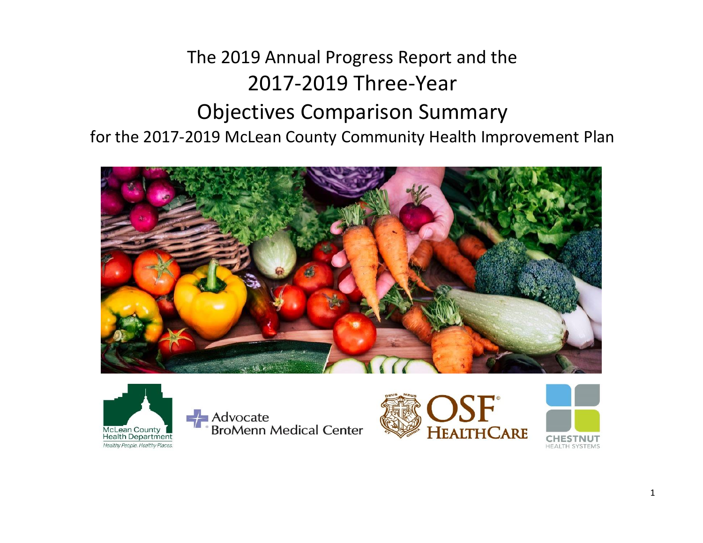# The 2019 Annual Progress Report and the 2017-2019 Three-Year Objectives Comparison Summary for the 2017-2019 McLean County Community Health Improvement Plan





Advocate<br>BroMenn Medical Center



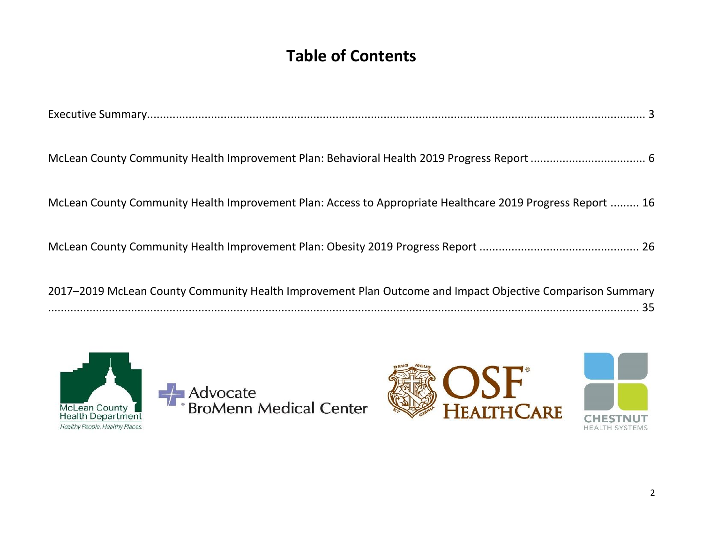# **Table of Contents**

| McLean County Community Health Improvement Plan: Access to Appropriate Healthcare 2019 Progress Report  16 |
|------------------------------------------------------------------------------------------------------------|
|                                                                                                            |
| 2017–2019 McLean County Community Health Improvement Plan Outcome and Impact Objective Comparison Summary  |



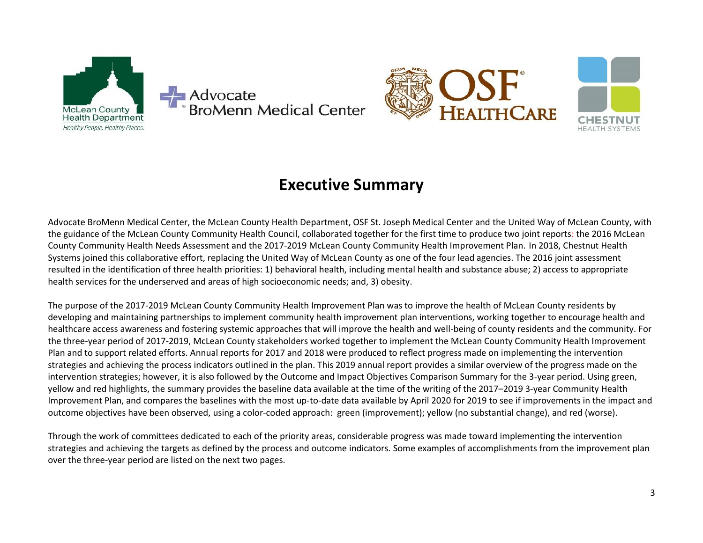



# **Executive Summary**

<span id="page-2-0"></span>Advocate BroMenn Medical Center, the McLean County Health Department, OSF St. Joseph Medical Center and the United Way of McLean County, with the guidance of the McLean County Community Health Council, collaborated together for the first time to produce two joint reports: the 2016 McLean County Community Health Needs Assessment and the 2017-2019 McLean County Community Health Improvement Plan. In 2018, Chestnut Health Systems joined this collaborative effort, replacing the United Way of McLean County as one of the four lead agencies. The 2016 joint assessment resulted in the identification of three health priorities: 1) behavioral health, including mental health and substance abuse; 2) access to appropriate health services for the underserved and areas of high socioeconomic needs; and, 3) obesity.

The purpose of the 2017-2019 McLean County Community Health Improvement Plan was to improve the health of McLean County residents by developing and maintaining partnerships to implement community health improvement plan interventions, working together to encourage health and healthcare access awareness and fostering systemic approaches that will improve the health and well-being of county residents and the community. For the three-year period of 2017-2019, McLean County stakeholders worked together to implement the McLean County Community Health Improvement Plan and to support related efforts. Annual reports for 2017 and 2018 were produced to reflect progress made on implementing the intervention strategies and achieving the process indicators outlined in the plan. This 2019 annual report provides a similar overview of the progress made on the intervention strategies; however, it is also followed by the Outcome and Impact Objectives Comparison Summary for the 3-year period. Using green, yellow and red highlights, the summary provides the baseline data available at the time of the writing of the 2017–2019 3-year Community Health Improvement Plan, and compares the baselines with the most up-to-date data available by April 2020 for 2019 to see if improvements in the impact and outcome objectives have been observed, using a color-coded approach: green (improvement); yellow (no substantial change), and red (worse).

Through the work of committees dedicated to each of the priority areas, considerable progress was made toward implementing the intervention strategies and achieving the targets as defined by the process and outcome indicators. Some examples of accomplishments from the improvement plan over the three-year period are listed on the next two pages.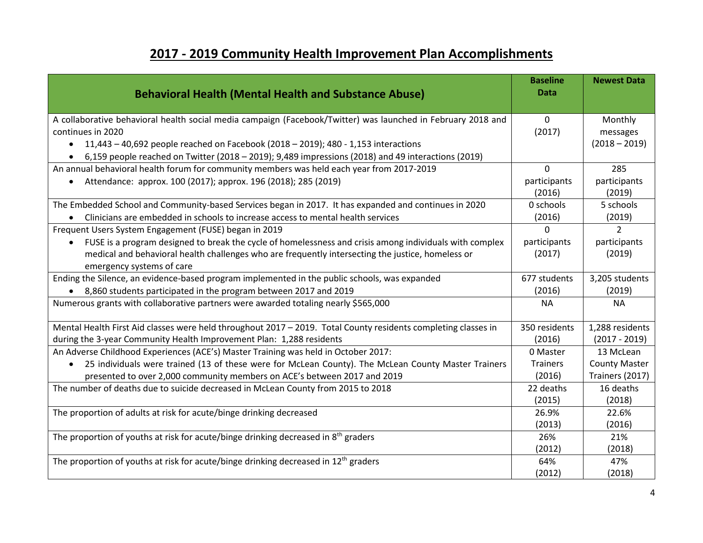# **2017 - 2019 Community Health Improvement Plan Accomplishments**

| <b>Behavioral Health (Mental Health and Substance Abuse)</b>                                                     | <b>Baseline</b><br><b>Data</b> | <b>Newest Data</b>     |
|------------------------------------------------------------------------------------------------------------------|--------------------------------|------------------------|
| A collaborative behavioral health social media campaign (Facebook/Twitter) was launched in February 2018 and     | $\mathbf{0}$                   | Monthly                |
| continues in 2020                                                                                                | (2017)                         | messages               |
|                                                                                                                  |                                | $(2018 - 2019)$        |
| 11,443 - 40,692 people reached on Facebook (2018 - 2019); 480 - 1,153 interactions                               |                                |                        |
| • 6,159 people reached on Twitter (2018 – 2019); 9,489 impressions (2018) and 49 interactions (2019)             |                                |                        |
| An annual behavioral health forum for community members was held each year from 2017-2019                        | $\Omega$                       | 285                    |
| Attendance: approx. 100 (2017); approx. 196 (2018); 285 (2019)                                                   | participants<br>(2016)         | participants<br>(2019) |
| The Embedded School and Community-based Services began in 2017. It has expanded and continues in 2020            | 0 schools                      | 5 schools              |
| Clinicians are embedded in schools to increase access to mental health services                                  | (2016)                         | (2019)                 |
| Frequent Users System Engagement (FUSE) began in 2019                                                            | $\Omega$                       | $\overline{2}$         |
| FUSE is a program designed to break the cycle of homelessness and crisis among individuals with complex          | participants                   | participants           |
| medical and behavioral health challenges who are frequently intersecting the justice, homeless or                | (2017)                         | (2019)                 |
| emergency systems of care                                                                                        |                                |                        |
| Ending the Silence, an evidence-based program implemented in the public schools, was expanded                    | 677 students                   | 3,205 students         |
| • 8,860 students participated in the program between 2017 and 2019                                               | (2016)                         | (2019)                 |
| Numerous grants with collaborative partners were awarded totaling nearly \$565,000                               | <b>NA</b>                      | <b>NA</b>              |
| Mental Health First Aid classes were held throughout 2017 - 2019. Total County residents completing classes in   | 350 residents                  | 1,288 residents        |
| during the 3-year Community Health Improvement Plan: 1,288 residents                                             | (2016)                         | $(2017 - 2019)$        |
| An Adverse Childhood Experiences (ACE's) Master Training was held in October 2017:                               | 0 Master                       | 13 McLean              |
| 25 individuals were trained (13 of these were for McLean County). The McLean County Master Trainers<br>$\bullet$ | <b>Trainers</b>                | <b>County Master</b>   |
| presented to over 2,000 community members on ACE's between 2017 and 2019                                         | (2016)                         | Trainers (2017)        |
| The number of deaths due to suicide decreased in McLean County from 2015 to 2018                                 | 22 deaths                      | 16 deaths              |
|                                                                                                                  | (2015)                         | (2018)                 |
| The proportion of adults at risk for acute/binge drinking decreased                                              | 26.9%                          | 22.6%                  |
|                                                                                                                  | (2013)                         | (2016)                 |
| The proportion of youths at risk for acute/binge drinking decreased in 8 <sup>th</sup> graders                   | 26%                            | 21%                    |
|                                                                                                                  | (2012)                         | (2018)                 |
| The proportion of youths at risk for acute/binge drinking decreased in 12 <sup>th</sup> graders                  | 64%                            | 47%                    |
|                                                                                                                  | (2012)                         | (2018)                 |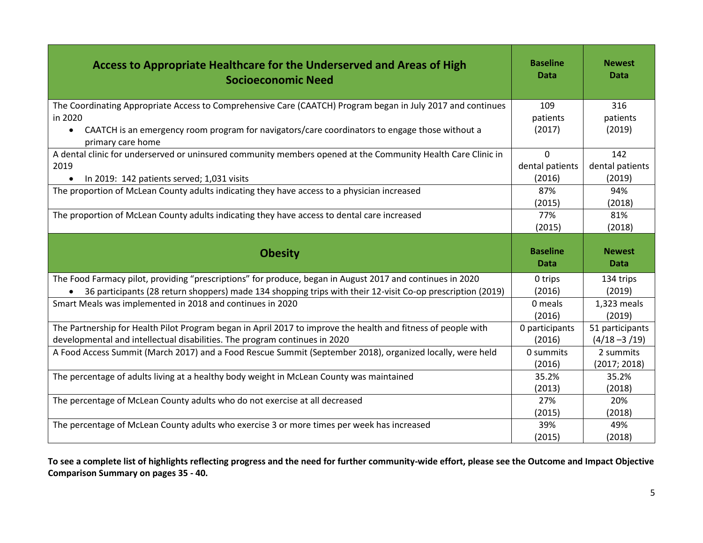| Access to Appropriate Healthcare for the Underserved and Areas of High<br><b>Socioeconomic Need</b>                              | <b>Baseline</b><br>Data | <b>Newest</b><br>Data |
|----------------------------------------------------------------------------------------------------------------------------------|-------------------------|-----------------------|
| The Coordinating Appropriate Access to Comprehensive Care (CAATCH) Program began in July 2017 and continues                      | 109                     | 316                   |
| in 2020                                                                                                                          | patients                | patients              |
| CAATCH is an emergency room program for navigators/care coordinators to engage those without a<br>$\bullet$<br>primary care home | (2017)                  | (2019)                |
| A dental clinic for underserved or uninsured community members opened at the Community Health Care Clinic in                     | $\Omega$                | 142                   |
| 2019                                                                                                                             | dental patients         | dental patients       |
| In 2019: 142 patients served; 1,031 visits                                                                                       | (2016)                  | (2019)                |
| The proportion of McLean County adults indicating they have access to a physician increased                                      | 87%                     | 94%                   |
|                                                                                                                                  | (2015)                  | (2018)                |
| The proportion of McLean County adults indicating they have access to dental care increased                                      | 77%                     | 81%                   |
|                                                                                                                                  | (2015)                  | (2018)                |
|                                                                                                                                  |                         |                       |
| <b>Obesity</b>                                                                                                                   | <b>Baseline</b><br>Data | <b>Newest</b><br>Data |
| The Food Farmacy pilot, providing "prescriptions" for produce, began in August 2017 and continues in 2020                        | 0 trips                 | 134 trips             |
| 36 participants (28 return shoppers) made 134 shopping trips with their 12-visit Co-op prescription (2019)<br>$\bullet$          | (2016)                  | (2019)                |
| Smart Meals was implemented in 2018 and continues in 2020                                                                        | 0 meals                 | 1,323 meals           |
|                                                                                                                                  | (2016)                  | (2019)                |
| The Partnership for Health Pilot Program began in April 2017 to improve the health and fitness of people with                    | 0 participants          | 51 participants       |
| developmental and intellectual disabilities. The program continues in 2020                                                       | (2016)                  | $(4/18 - 3/19)$       |
| A Food Access Summit (March 2017) and a Food Rescue Summit (September 2018), organized locally, were held                        | 0 summits               | 2 summits             |
|                                                                                                                                  | (2016)                  | (2017; 2018)          |
| The percentage of adults living at a healthy body weight in McLean County was maintained                                         | 35.2%                   | 35.2%                 |
|                                                                                                                                  | (2013)                  | (2018)                |
| The percentage of McLean County adults who do not exercise at all decreased                                                      | 27%                     | 20%                   |
|                                                                                                                                  | (2015)                  | (2018)                |
| The percentage of McLean County adults who exercise 3 or more times per week has increased                                       | 39%<br>(2015)           | 49%<br>(2018)         |

**To see a complete list of highlights reflecting progress and the need for further community-wide effort, please see the Outcome and Impact Objective Comparison Summary on pages 35 - 40.**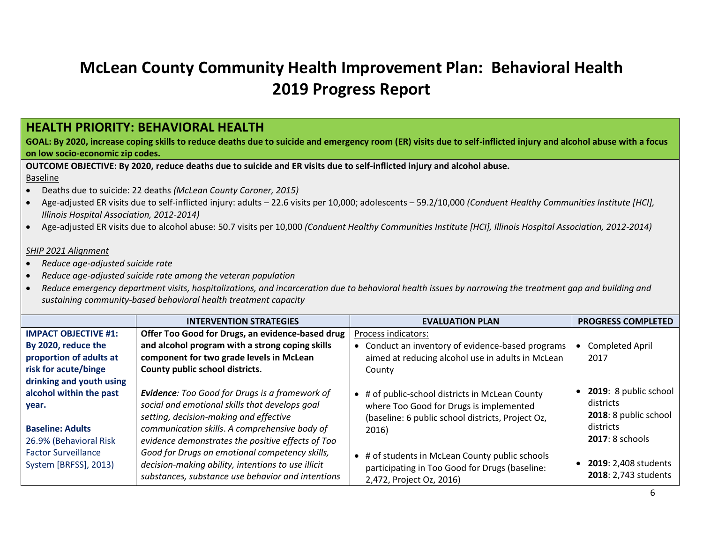# <span id="page-5-0"></span>**McLean County Community Health Improvement Plan: Behavioral Health 2019 Progress Report**

# **HEALTH PRIORITY: BEHAVIORAL HEALTH**

**GOAL: By 2020, increase coping skills to reduce deaths due to suicide and emergency room (ER) visits due to self-inflicted injury and alcohol abuse with a focus on low socio-economic zip codes.**

**OUTCOME OBJECTIVE: By 2020, reduce deaths due to suicide and ER visits due to self-inflicted injury and alcohol abuse.** Baseline

- Deaths due to suicide: 22 deaths *(McLean County Coroner, 2015)*
- Age-adjusted ER visits due to self-inflicted injury: adults 22.6 visits per 10,000; adolescents 59.2/10,000 *(Conduent Healthy Communities Institute [HCI], Illinois Hospital Association, 2012-2014)*
- Age-adjusted ER visits due to alcohol abuse: 50.7 visits per 10,000 *(Conduent Healthy Communities Institute [HCI], Illinois Hospital Association, 2012-2014)*

## *SHIP 2021 Alignment*

- *Reduce age-adjusted suicide rate*
- *Reduce age-adjusted suicide rate among the veteran population*
- *Reduce emergency department visits, hospitalizations, and incarceration due to behavioral health issues by narrowing the treatment gap and building and sustaining community-based behavioral health treatment capacity*

|                                                                                       | <b>INTERVENTION STRATEGIES</b>                                                                                                                                                                                                                   | <b>EVALUATION PLAN</b>                                                                                                                                   | <b>PROGRESS COMPLETED</b>                                                                   |
|---------------------------------------------------------------------------------------|--------------------------------------------------------------------------------------------------------------------------------------------------------------------------------------------------------------------------------------------------|----------------------------------------------------------------------------------------------------------------------------------------------------------|---------------------------------------------------------------------------------------------|
| <b>IMPACT OBJECTIVE #1:</b>                                                           | Offer Too Good for Drugs, an evidence-based drug                                                                                                                                                                                                 | Process indicators:                                                                                                                                      |                                                                                             |
| By 2020, reduce the                                                                   | and alcohol program with a strong coping skills                                                                                                                                                                                                  | • Conduct an inventory of evidence-based programs                                                                                                        | <b>Completed April</b>                                                                      |
| proportion of adults at                                                               | component for two grade levels in McLean                                                                                                                                                                                                         | aimed at reducing alcohol use in adults in McLean                                                                                                        | 2017                                                                                        |
| risk for acute/binge                                                                  | County public school districts.                                                                                                                                                                                                                  | County                                                                                                                                                   |                                                                                             |
| drinking and youth using                                                              |                                                                                                                                                                                                                                                  |                                                                                                                                                          |                                                                                             |
| alcohol within the past<br>year.<br><b>Baseline: Adults</b><br>26.9% (Behavioral Risk | Evidence: Too Good for Drugs is a framework of<br>social and emotional skills that develops goal<br>setting, decision-making and effective<br>communication skills. A comprehensive body of<br>evidence demonstrates the positive effects of Too | • # of public-school districts in McLean County<br>where Too Good for Drugs is implemented<br>(baseline: 6 public school districts, Project Oz,<br>2016) | 2019: 8 public school<br>districts<br>2018: 8 public school<br>districts<br>2017: 8 schools |
| <b>Factor Surveillance</b><br>System [BRFSS], 2013)                                   | Good for Drugs on emotional competency skills,<br>decision-making ability, intentions to use illicit<br>substances, substance use behavior and intentions                                                                                        | • # of students in McLean County public schools<br>participating in Too Good for Drugs (baseline:<br>2,472, Project Oz, 2016)                            | 2019: 2,408 students<br>2018: 2,743 students                                                |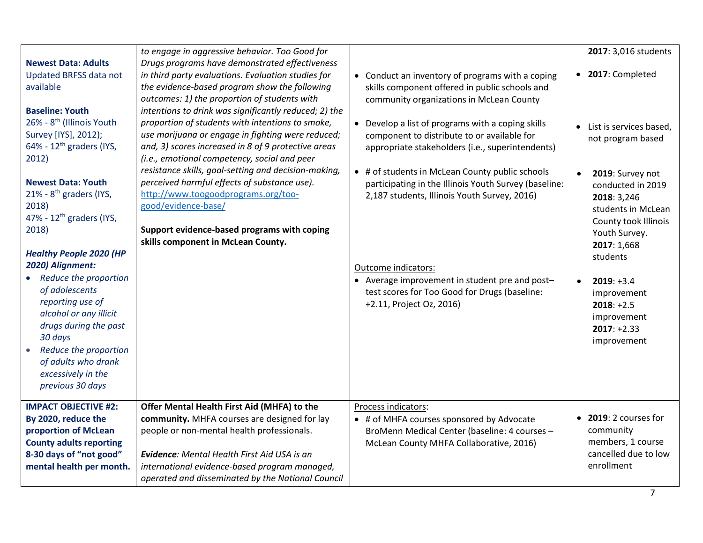|                                                                                                                                                                                                                                                                                                                                                                                                                                                                                                                                                                                                                          |                                                                                                                                                                                                                                                                                                                                                                                                                                                                                                                                                                                                                                                                                                                                           |                                                                                                                                                                                                                                                                                                                                                                                                                                                                                                                                                                                                                          | $\overline{7}$                                                                                                                                                                                                                                                                                                      |
|--------------------------------------------------------------------------------------------------------------------------------------------------------------------------------------------------------------------------------------------------------------------------------------------------------------------------------------------------------------------------------------------------------------------------------------------------------------------------------------------------------------------------------------------------------------------------------------------------------------------------|-------------------------------------------------------------------------------------------------------------------------------------------------------------------------------------------------------------------------------------------------------------------------------------------------------------------------------------------------------------------------------------------------------------------------------------------------------------------------------------------------------------------------------------------------------------------------------------------------------------------------------------------------------------------------------------------------------------------------------------------|--------------------------------------------------------------------------------------------------------------------------------------------------------------------------------------------------------------------------------------------------------------------------------------------------------------------------------------------------------------------------------------------------------------------------------------------------------------------------------------------------------------------------------------------------------------------------------------------------------------------------|---------------------------------------------------------------------------------------------------------------------------------------------------------------------------------------------------------------------------------------------------------------------------------------------------------------------|
| <b>IMPACT OBJECTIVE #2:</b><br>By 2020, reduce the<br>proportion of McLean<br><b>County adults reporting</b><br>8-30 days of "not good"<br>mental health per month.                                                                                                                                                                                                                                                                                                                                                                                                                                                      | Offer Mental Health First Aid (MHFA) to the<br>community. MHFA courses are designed for lay<br>people or non-mental health professionals.<br><b>Evidence:</b> Mental Health First Aid USA is an<br>international evidence-based program managed,<br>operated and disseminated by the National Council                                                                                                                                                                                                                                                                                                                                                                                                                                     | Process indicators:<br>• # of MHFA courses sponsored by Advocate<br>BroMenn Medical Center (baseline: 4 courses -<br>McLean County MHFA Collaborative, 2016)                                                                                                                                                                                                                                                                                                                                                                                                                                                             | • 2019: 2 courses for<br>community<br>members, 1 course<br>cancelled due to low<br>enrollment                                                                                                                                                                                                                       |
| <b>Newest Data: Adults</b><br><b>Updated BRFSS data not</b><br>available<br><b>Baseline: Youth</b><br>26% - 8 <sup>th</sup> (Illinois Youth<br>Survey [IYS], 2012);<br>64% - $12^{th}$ graders (IYS,<br>2012)<br><b>Newest Data: Youth</b><br>21% - 8 <sup>th</sup> graders (IYS,<br>2018)<br>47% - 12 <sup>th</sup> graders (IYS,<br>2018)<br><b>Healthy People 2020 (HP</b><br>2020) Alignment:<br>Reduce the proportion<br>of adolescents<br>reporting use of<br>alcohol or any illicit<br>drugs during the past<br>30 days<br>Reduce the proportion<br>of adults who drank<br>excessively in the<br>previous 30 days | Drugs programs have demonstrated effectiveness<br>in third party evaluations. Evaluation studies for<br>the evidence-based program show the following<br>outcomes: 1) the proportion of students with<br>intentions to drink was significantly reduced; 2) the<br>proportion of students with intentions to smoke,<br>use marijuana or engage in fighting were reduced;<br>and, 3) scores increased in 8 of 9 protective areas<br>(i.e., emotional competency, social and peer<br>resistance skills, goal-setting and decision-making,<br>perceived harmful effects of substance use).<br>http://www.toogoodprograms.org/too-<br>good/evidence-base/<br>Support evidence-based programs with coping<br>skills component in McLean County. | • Conduct an inventory of programs with a coping<br>skills component offered in public schools and<br>community organizations in McLean County<br>• Develop a list of programs with a coping skills<br>component to distribute to or available for<br>appropriate stakeholders (i.e., superintendents)<br>• # of students in McLean County public schools<br>participating in the Illinois Youth Survey (baseline:<br>2,187 students, Illinois Youth Survey, 2016)<br>Outcome indicators:<br>• Average improvement in student pre and post-<br>test scores for Too Good for Drugs (baseline:<br>+2.11, Project Oz, 2016) | • 2017: Completed<br>• List is services based,<br>not program based<br>2019: Survey not<br>conducted in 2019<br>2018: 3,246<br>students in McLean<br>County took Illinois<br>Youth Survey.<br>2017: 1,668<br>students<br>$2019: +3.4$<br>improvement<br>$2018: +2.5$<br>improvement<br>$2017: +2.33$<br>improvement |
|                                                                                                                                                                                                                                                                                                                                                                                                                                                                                                                                                                                                                          | to engage in aggressive behavior. Too Good for                                                                                                                                                                                                                                                                                                                                                                                                                                                                                                                                                                                                                                                                                            |                                                                                                                                                                                                                                                                                                                                                                                                                                                                                                                                                                                                                          | 2017: 3,016 students                                                                                                                                                                                                                                                                                                |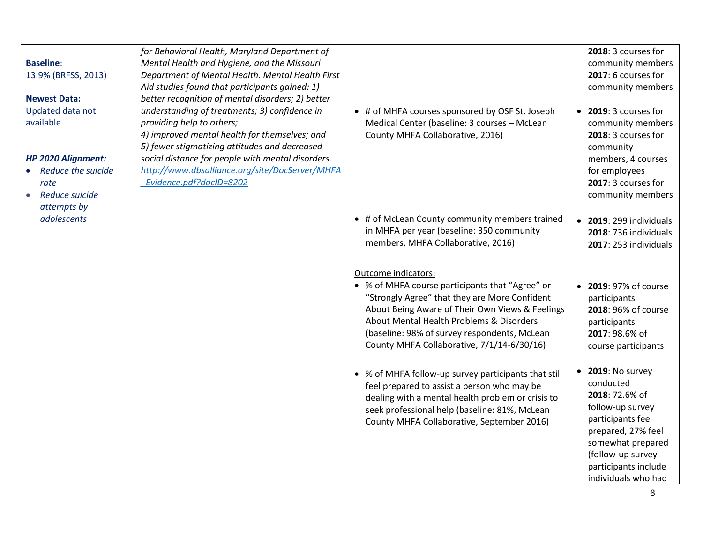| <b>Baseline:</b><br>13.9% (BRFSS, 2013)<br><b>Newest Data:</b><br>Updated data not<br>available | for Behavioral Health, Maryland Department of<br>Mental Health and Hygiene, and the Missouri<br>Department of Mental Health. Mental Health First<br>Aid studies found that participants gained: 1)<br>better recognition of mental disorders; 2) better<br>understanding of treatments; 3) confidence in<br>providing help to others;<br>4) improved mental health for themselves; and | • # of MHFA courses sponsored by OSF St. Joseph<br>Medical Center (baseline: 3 courses - McLean<br>County MHFA Collaborative, 2016)                                                                                                                                                                                  | 2018: 3 courses for<br>community members<br>2017: 6 courses for<br>community members<br>• 2019: 3 courses for<br>community members<br>2018: 3 courses for                                                           |
|-------------------------------------------------------------------------------------------------|----------------------------------------------------------------------------------------------------------------------------------------------------------------------------------------------------------------------------------------------------------------------------------------------------------------------------------------------------------------------------------------|----------------------------------------------------------------------------------------------------------------------------------------------------------------------------------------------------------------------------------------------------------------------------------------------------------------------|---------------------------------------------------------------------------------------------------------------------------------------------------------------------------------------------------------------------|
| HP 2020 Alignment:<br>Reduce the suicide<br>rate<br>Reduce suicide<br>attempts by               | 5) fewer stigmatizing attitudes and decreased<br>social distance for people with mental disorders.<br>http://www.dbsalliance.org/site/DocServer/MHFA<br>Evidence.pdf?docID=8202                                                                                                                                                                                                        |                                                                                                                                                                                                                                                                                                                      | community<br>members, 4 courses<br>for employees<br>2017: 3 courses for<br>community members                                                                                                                        |
| adolescents                                                                                     |                                                                                                                                                                                                                                                                                                                                                                                        | • # of McLean County community members trained<br>in MHFA per year (baseline: 350 community<br>members, MHFA Collaborative, 2016)                                                                                                                                                                                    | • 2019: 299 individuals<br>2018: 736 individuals<br>2017: 253 individuals                                                                                                                                           |
|                                                                                                 |                                                                                                                                                                                                                                                                                                                                                                                        | Outcome indicators:<br>• % of MHFA course participants that "Agree" or<br>"Strongly Agree" that they are More Confident<br>About Being Aware of Their Own Views & Feelings<br>About Mental Health Problems & Disorders<br>(baseline: 98% of survey respondents, McLean<br>County MHFA Collaborative, 7/1/14-6/30/16) | 2019: 97% of course<br>$\bullet$<br>participants<br>2018: 96% of course<br>participants<br>2017: 98.6% of<br>course participants                                                                                    |
|                                                                                                 |                                                                                                                                                                                                                                                                                                                                                                                        | • % of MHFA follow-up survey participants that still<br>feel prepared to assist a person who may be<br>dealing with a mental health problem or crisis to<br>seek professional help (baseline: 81%, McLean<br>County MHFA Collaborative, September 2016)                                                              | 2019: No survey<br>$\bullet$<br>conducted<br>2018: 72.6% of<br>follow-up survey<br>participants feel<br>prepared, 27% feel<br>somewhat prepared<br>(follow-up survey<br>participants include<br>individuals who had |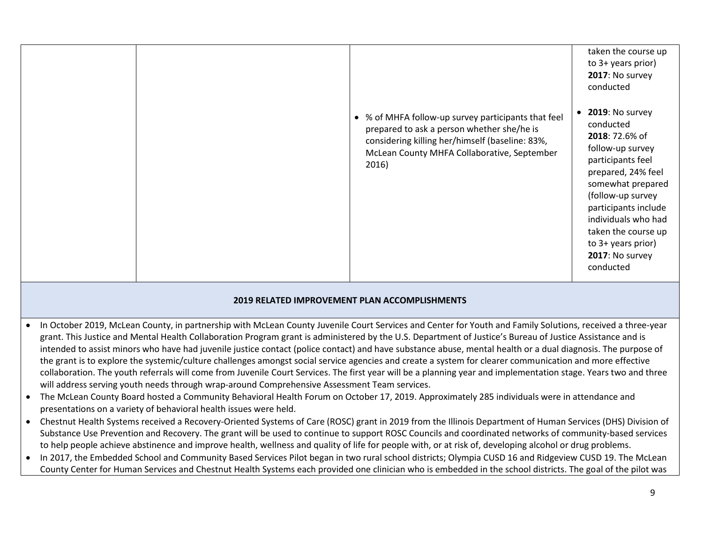|                                                                                                                                                                   | • % of MHFA follow-up survey participants that feel<br>prepared to ask a person whether she/he is<br>considering killing her/himself (baseline: 83%,<br>McLean County MHFA Collaborative, September<br>2016)                                                                                                                                                                                                                                                                                                                                                                                                                                                                                                                                                                                                                                                                                                                                                                                                                                                                                                                                                                                                                                                                                    | taken the course up<br>to 3+ years prior)<br>2017: No survey<br>conducted<br>2019: No survey<br>$\bullet$<br>conducted<br>2018: 72.6% of<br>follow-up survey<br>participants feel<br>prepared, 24% feel<br>somewhat prepared<br>(follow-up survey<br>participants include<br>individuals who had<br>taken the course up<br>to 3+ years prior)<br>2017: No survey<br>conducted |
|-------------------------------------------------------------------------------------------------------------------------------------------------------------------|-------------------------------------------------------------------------------------------------------------------------------------------------------------------------------------------------------------------------------------------------------------------------------------------------------------------------------------------------------------------------------------------------------------------------------------------------------------------------------------------------------------------------------------------------------------------------------------------------------------------------------------------------------------------------------------------------------------------------------------------------------------------------------------------------------------------------------------------------------------------------------------------------------------------------------------------------------------------------------------------------------------------------------------------------------------------------------------------------------------------------------------------------------------------------------------------------------------------------------------------------------------------------------------------------|-------------------------------------------------------------------------------------------------------------------------------------------------------------------------------------------------------------------------------------------------------------------------------------------------------------------------------------------------------------------------------|
|                                                                                                                                                                   | 2019 RELATED IMPROVEMENT PLAN ACCOMPLISHMENTS                                                                                                                                                                                                                                                                                                                                                                                                                                                                                                                                                                                                                                                                                                                                                                                                                                                                                                                                                                                                                                                                                                                                                                                                                                                   |                                                                                                                                                                                                                                                                                                                                                                               |
| will address serving youth needs through wrap-around Comprehensive Assessment Team services.<br>presentations on a variety of behavioral health issues were held. | In October 2019, McLean County, in partnership with McLean County Juvenile Court Services and Center for Youth and Family Solutions, received a three-year<br>grant. This Justice and Mental Health Collaboration Program grant is administered by the U.S. Department of Justice's Bureau of Justice Assistance and is<br>intended to assist minors who have had juvenile justice contact (police contact) and have substance abuse, mental health or a dual diagnosis. The purpose of<br>the grant is to explore the systemic/culture challenges amongst social service agencies and create a system for clearer communication and more effective<br>collaboration. The youth referrals will come from Juvenile Court Services. The first year will be a planning year and implementation stage. Years two and three<br>The McLean County Board hosted a Community Behavioral Health Forum on October 17, 2019. Approximately 285 individuals were in attendance and<br>Chestnut Health Systems received a Recovery-Oriented Systems of Care (ROSC) grant in 2019 from the Illinois Department of Human Services (DHS) Division of<br>Substance Use Prevention and Recovery. The grant will be used to continue to support ROSC Councils and coordinated networks of community-based services |                                                                                                                                                                                                                                                                                                                                                                               |

to help people achieve abstinence and improve health, wellness and quality of life for people with, or at risk of, developing alcohol or drug problems. • In 2017, the Embedded School and Community Based Services Pilot began in two rural school districts; Olympia CUSD 16 and Ridgeview CUSD 19. The McLean County Center for Human Services and Chestnut Health Systems each provided one clinician who is embedded in the school districts. The goal of the pilot was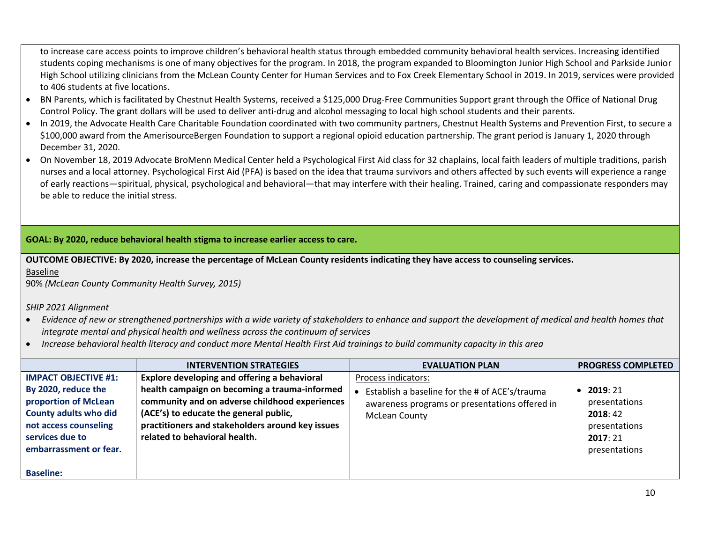to increase care access points to improve children's behavioral health status through embedded community behavioral health services. Increasing identified students coping mechanisms is one of many objectives for the program. In 2018, the program expanded to Bloomington Junior High School and Parkside Junior High School utilizing clinicians from the McLean County Center for Human Services and to Fox Creek Elementary School in 2019. In 2019, services were provided to 406 students at five locations.

- BN Parents, which is facilitated by Chestnut Health Systems, received a \$125,000 Drug-Free Communities Support grant through the Office of National Drug Control Policy. The grant dollars will be used to deliver anti-drug and alcohol messaging to local high school students and their parents.
- In 2019, the Advocate Health Care Charitable Foundation coordinated with two community partners, Chestnut Health Systems and Prevention First, to secure a \$100,000 award from the AmerisourceBergen Foundation to support a regional opioid education partnership. The grant period is January 1, 2020 through December 31, 2020.
- On November 18, 2019 Advocate BroMenn Medical Center held a Psychological First Aid class for 32 chaplains, local faith leaders of multiple traditions, parish nurses and a local attorney. Psychological First Aid (PFA) is based on the idea that trauma survivors and others affected by such events will experience a range of early reactions—spiritual, physical, psychological and behavioral—that may interfere with their healing. Trained, caring and compassionate responders may be able to reduce the initial stress.

## **GOAL: By 2020, reduce behavioral health stigma to increase earlier access to care.**

**OUTCOME OBJECTIVE: By 2020, increase the percentage of McLean County residents indicating they have access to counseling services.**  Baseline

90% *(McLean County Community Health Survey, 2015)*

#### *SHIP 2021 Alignment*

- *Evidence of new or strengthened partnerships with a wide variety of stakeholders to enhance and support the development of medical and health homes that integrate mental and physical health and wellness across the continuum of services*
- *Increase behavioral health literacy and conduct more Mental Health First Aid trainings to build community capacity in this area*

|                                                                                                                                                                                  | <b>INTERVENTION STRATEGIES</b>                                                                                                                                                                                                                                                 | <b>EVALUATION PLAN</b>                                                                                                                   | <b>PROGRESS COMPLETED</b>                                                        |
|----------------------------------------------------------------------------------------------------------------------------------------------------------------------------------|--------------------------------------------------------------------------------------------------------------------------------------------------------------------------------------------------------------------------------------------------------------------------------|------------------------------------------------------------------------------------------------------------------------------------------|----------------------------------------------------------------------------------|
| <b>IMPACT OBJECTIVE #1:</b><br>By 2020, reduce the<br>proportion of McLean<br><b>County adults who did</b><br>not access counseling<br>services due to<br>embarrassment or fear. | Explore developing and offering a behavioral<br>health campaign on becoming a trauma-informed<br>community and on adverse childhood experiences<br>(ACE's) to educate the general public,<br>practitioners and stakeholders around key issues<br>related to behavioral health. | Process indicators:<br>Establish a baseline for the # of ACE's/trauma<br>awareness programs or presentations offered in<br>McLean County | 2019:21<br>presentations<br>2018:42<br>presentations<br>2017:21<br>presentations |
| <b>Baseline:</b>                                                                                                                                                                 |                                                                                                                                                                                                                                                                                |                                                                                                                                          |                                                                                  |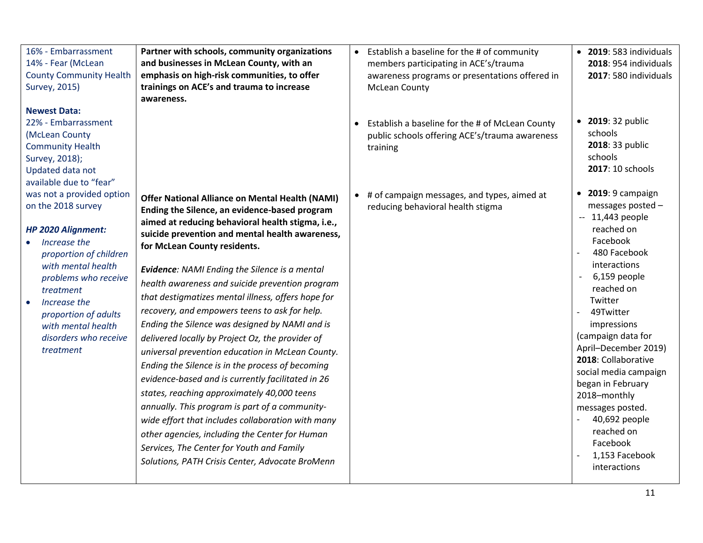| 16% - Embarrassment<br>14% - Fear (McLean<br><b>County Community Health</b><br>Survey, 2015)<br><b>Newest Data:</b>                                                                                                                                                                   | Partner with schools, community organizations<br>and businesses in McLean County, with an<br>emphasis on high-risk communities, to offer<br>trainings on ACE's and trauma to increase<br>awareness.                                                                                                                                                                                                                                                                                                                                                                                                                                                                                                                                                                                                                                                                                                                                                                                                                                          | Establish a baseline for the # of community<br>$\bullet$<br>members participating in ACE's/trauma<br>awareness programs or presentations offered in<br><b>McLean County</b> | • 2019: 583 individuals<br>2018: 954 individuals<br>2017: 580 individuals<br>• 2019: 32 public                                                                                                                                                                                                                                                                                                                                         |
|---------------------------------------------------------------------------------------------------------------------------------------------------------------------------------------------------------------------------------------------------------------------------------------|----------------------------------------------------------------------------------------------------------------------------------------------------------------------------------------------------------------------------------------------------------------------------------------------------------------------------------------------------------------------------------------------------------------------------------------------------------------------------------------------------------------------------------------------------------------------------------------------------------------------------------------------------------------------------------------------------------------------------------------------------------------------------------------------------------------------------------------------------------------------------------------------------------------------------------------------------------------------------------------------------------------------------------------------|-----------------------------------------------------------------------------------------------------------------------------------------------------------------------------|----------------------------------------------------------------------------------------------------------------------------------------------------------------------------------------------------------------------------------------------------------------------------------------------------------------------------------------------------------------------------------------------------------------------------------------|
| 22% - Embarrassment<br>(McLean County<br><b>Community Health</b><br>Survey, 2018);<br>Updated data not<br>available due to "fear"                                                                                                                                                     |                                                                                                                                                                                                                                                                                                                                                                                                                                                                                                                                                                                                                                                                                                                                                                                                                                                                                                                                                                                                                                              | Establish a baseline for the # of McLean County<br>public schools offering ACE's/trauma awareness<br>training                                                               | schools<br>2018: 33 public<br>schools<br>2017: 10 schools                                                                                                                                                                                                                                                                                                                                                                              |
| was not a provided option<br>on the 2018 survey<br><b>HP 2020 Alignment:</b><br>Increase the<br>proportion of children<br>with mental health<br>problems who receive<br>treatment<br>Increase the<br>proportion of adults<br>with mental health<br>disorders who receive<br>treatment | <b>Offer National Alliance on Mental Health (NAMI)</b><br>Ending the Silence, an evidence-based program<br>aimed at reducing behavioral health stigma, i.e.,<br>suicide prevention and mental health awareness,<br>for McLean County residents.<br><b>Evidence: NAMI Ending the Silence is a mental</b><br>health awareness and suicide prevention program<br>that destigmatizes mental illness, offers hope for<br>recovery, and empowers teens to ask for help.<br>Ending the Silence was designed by NAMI and is<br>delivered locally by Project Oz, the provider of<br>universal prevention education in McLean County.<br>Ending the Silence is in the process of becoming<br>evidence-based and is currently facilitated in 26<br>states, reaching approximately 40,000 teens<br>annually. This program is part of a community-<br>wide effort that includes collaboration with many<br>other agencies, including the Center for Human<br>Services, The Center for Youth and Family<br>Solutions, PATH Crisis Center, Advocate BroMenn | # of campaign messages, and types, aimed at<br>$\bullet$<br>reducing behavioral health stigma                                                                               | $\bullet$ 2019: 9 campaign<br>messages posted -<br>$-11,443$ people<br>reached on<br>Facebook<br>480 Facebook<br>interactions<br>6,159 people<br>reached on<br>Twitter<br>49Twitter<br>impressions<br>(campaign data for<br>April-December 2019)<br>2018: Collaborative<br>social media campaign<br>began in February<br>2018-monthly<br>messages posted.<br>40,692 people<br>reached on<br>Facebook<br>1,153 Facebook<br>interactions |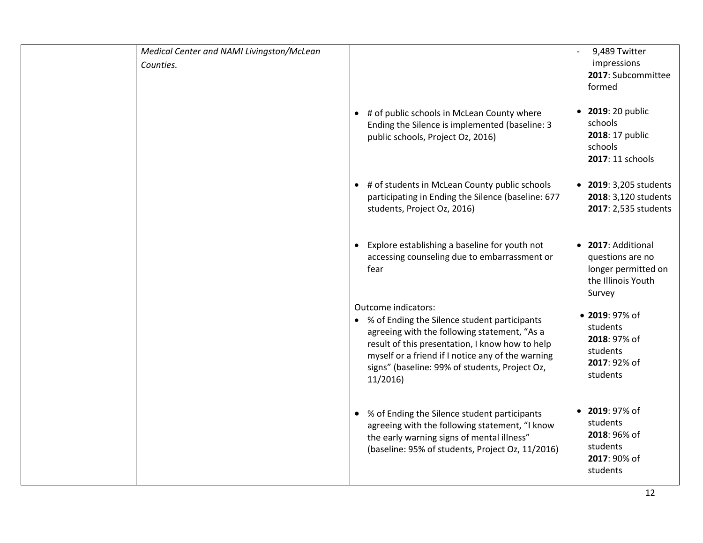| Medical Center and NAMI Livingston/McLean |                                                                                                                                                                                                                                                                                            | 9,489 Twitter                                                                                  |
|-------------------------------------------|--------------------------------------------------------------------------------------------------------------------------------------------------------------------------------------------------------------------------------------------------------------------------------------------|------------------------------------------------------------------------------------------------|
| Counties.                                 |                                                                                                                                                                                                                                                                                            | impressions                                                                                    |
|                                           |                                                                                                                                                                                                                                                                                            | 2017: Subcommittee<br>formed                                                                   |
|                                           |                                                                                                                                                                                                                                                                                            |                                                                                                |
|                                           | • # of public schools in McLean County where<br>Ending the Silence is implemented (baseline: 3<br>public schools, Project Oz, 2016)                                                                                                                                                        | 2019: 20 public<br>$\bullet$<br>schools<br>2018: 17 public<br>schools<br>2017: 11 schools      |
|                                           | • # of students in McLean County public schools                                                                                                                                                                                                                                            | • 2019: 3,205 students                                                                         |
|                                           | participating in Ending the Silence (baseline: 677                                                                                                                                                                                                                                         | 2018: 3,120 students                                                                           |
|                                           | students, Project Oz, 2016)                                                                                                                                                                                                                                                                | 2017: 2,535 students                                                                           |
|                                           |                                                                                                                                                                                                                                                                                            |                                                                                                |
|                                           | Explore establishing a baseline for youth not<br>accessing counseling due to embarrassment or<br>fear                                                                                                                                                                                      | 2017: Additional<br>$\bullet$<br>questions are no<br>longer permitted on<br>the Illinois Youth |
|                                           |                                                                                                                                                                                                                                                                                            | Survey                                                                                         |
|                                           | Outcome indicators:<br>• % of Ending the Silence student participants<br>agreeing with the following statement, "As a<br>result of this presentation, I know how to help<br>myself or a friend if I notice any of the warning<br>signs" (baseline: 99% of students, Project Oz,<br>11/2016 | • 2019: 97% of<br>students<br>2018: 97% of<br>students<br>2017: 92% of<br>students             |
|                                           | % of Ending the Silence student participants<br>agreeing with the following statement, "I know<br>the early warning signs of mental illness"<br>(baseline: 95% of students, Project Oz, 11/2016)                                                                                           | 2019: 97% of<br>$\bullet$<br>students<br>2018: 96% of<br>students<br>2017: 90% of<br>students  |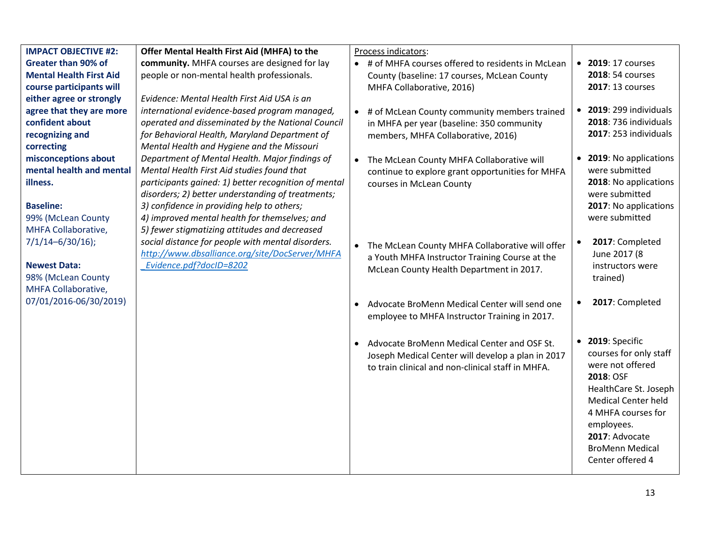| <b>IMPACT OBJECTIVE #2:</b>    | Offer Mental Health First Aid (MHFA) to the          |           | Process indicators:                                |           |                            |
|--------------------------------|------------------------------------------------------|-----------|----------------------------------------------------|-----------|----------------------------|
| <b>Greater than 90% of</b>     | community. MHFA courses are designed for lay         |           | • # of MHFA courses offered to residents in McLean |           | • 2019: 17 courses         |
| <b>Mental Health First Aid</b> | people or non-mental health professionals.           |           | County (baseline: 17 courses, McLean County        |           | 2018: 54 courses           |
| course participants will       |                                                      |           | MHFA Collaborative, 2016)                          |           | 2017: 13 courses           |
| either agree or strongly       | Evidence: Mental Health First Aid USA is an          |           |                                                    |           |                            |
| agree that they are more       | international evidence-based program managed,        |           | • # of McLean County community members trained     | $\bullet$ | 2019: 299 individuals      |
| confident about                | operated and disseminated by the National Council    |           | in MHFA per year (baseline: 350 community          |           | 2018: 736 individuals      |
| recognizing and                | for Behavioral Health, Maryland Department of        |           | members, MHFA Collaborative, 2016)                 |           | 2017: 253 individuals      |
| correcting                     | Mental Health and Hygiene and the Missouri           |           |                                                    |           |                            |
| misconceptions about           | Department of Mental Health. Major findings of       | $\bullet$ | The McLean County MHFA Collaborative will          | $\bullet$ | 2019: No applications      |
| mental health and mental       | Mental Health First Aid studies found that           |           | continue to explore grant opportunities for MHFA   |           | were submitted             |
| illness.                       | participants gained: 1) better recognition of mental |           | courses in McLean County                           |           | 2018: No applications      |
|                                | disorders; 2) better understanding of treatments;    |           |                                                    |           | were submitted             |
| <b>Baseline:</b>               | 3) confidence in providing help to others;           |           |                                                    |           | 2017: No applications      |
| 99% (McLean County             | 4) improved mental health for themselves; and        |           |                                                    |           | were submitted             |
| MHFA Collaborative,            | 5) fewer stigmatizing attitudes and decreased        |           |                                                    |           |                            |
| $7/1/14 - 6/30/16$ ;           | social distance for people with mental disorders.    | $\bullet$ | The McLean County MHFA Collaborative will offer    | $\bullet$ | 2017: Completed            |
|                                | http://www.dbsalliance.org/site/DocServer/MHFA       |           | a Youth MHFA Instructor Training Course at the     |           | June 2017 (8               |
| <b>Newest Data:</b>            | Evidence.pdf?docID=8202                              |           | McLean County Health Department in 2017.           |           | instructors were           |
| 98% (McLean County             |                                                      |           |                                                    |           | trained)                   |
| MHFA Collaborative,            |                                                      |           |                                                    |           |                            |
| 07/01/2016-06/30/2019)         |                                                      |           | Advocate BroMenn Medical Center will send one      | $\bullet$ | 2017: Completed            |
|                                |                                                      |           | employee to MHFA Instructor Training in 2017.      |           |                            |
|                                |                                                      |           |                                                    |           |                            |
|                                |                                                      | $\bullet$ | Advocate BroMenn Medical Center and OSF St.        |           | $\bullet$ 2019: Specific   |
|                                |                                                      |           | Joseph Medical Center will develop a plan in 2017  |           | courses for only staff     |
|                                |                                                      |           | to train clinical and non-clinical staff in MHFA.  |           | were not offered           |
|                                |                                                      |           |                                                    |           | 2018: OSF                  |
|                                |                                                      |           |                                                    |           | HealthCare St. Joseph      |
|                                |                                                      |           |                                                    |           | <b>Medical Center held</b> |
|                                |                                                      |           |                                                    |           | 4 MHFA courses for         |
|                                |                                                      |           |                                                    |           | employees.                 |
|                                |                                                      |           |                                                    |           | 2017: Advocate             |
|                                |                                                      |           |                                                    |           | <b>BroMenn Medical</b>     |
|                                |                                                      |           |                                                    |           | Center offered 4           |
|                                |                                                      |           |                                                    |           |                            |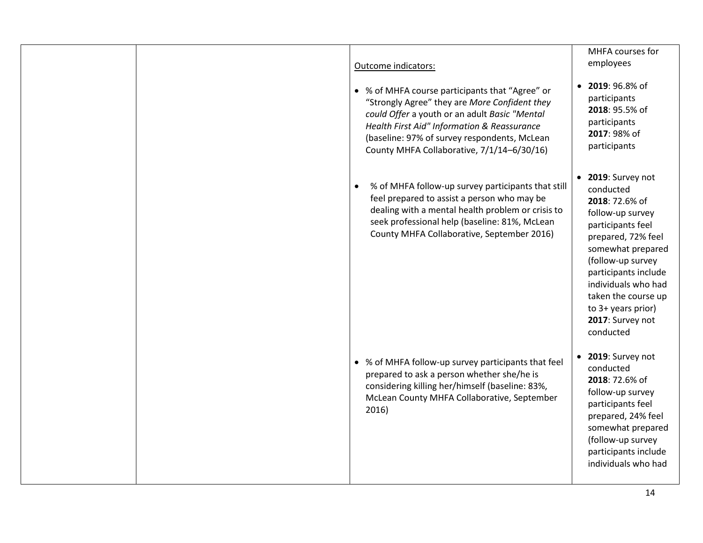| Outcome indicators:<br>• % of MHFA course participants that "Agree" or<br>"Strongly Agree" they are More Confident they<br>could Offer a youth or an adult Basic "Mental<br>Health First Aid" Information & Reassurance<br>(baseline: 97% of survey respondents, McLean<br>County MHFA Collaborative, 7/1/14-6/30/16) | MHFA courses for<br>employees<br>2019: 96.8% of<br>participants<br>2018: 95.5% of<br>participants<br>2017: 98% of<br>participants                                                                                                                                                                  |
|-----------------------------------------------------------------------------------------------------------------------------------------------------------------------------------------------------------------------------------------------------------------------------------------------------------------------|----------------------------------------------------------------------------------------------------------------------------------------------------------------------------------------------------------------------------------------------------------------------------------------------------|
| % of MHFA follow-up survey participants that still<br>$\bullet$<br>feel prepared to assist a person who may be<br>dealing with a mental health problem or crisis to<br>seek professional help (baseline: 81%, McLean<br>County MHFA Collaborative, September 2016)                                                    | 2019: Survey not<br>$\bullet$<br>conducted<br>2018: 72.6% of<br>follow-up survey<br>participants feel<br>prepared, 72% feel<br>somewhat prepared<br>(follow-up survey<br>participants include<br>individuals who had<br>taken the course up<br>to 3+ years prior)<br>2017: Survey not<br>conducted |
| • % of MHFA follow-up survey participants that feel<br>prepared to ask a person whether she/he is<br>considering killing her/himself (baseline: 83%,<br>McLean County MHFA Collaborative, September<br>2016)                                                                                                          | 2019: Survey not<br>$\bullet$<br>conducted<br>2018: 72.6% of<br>follow-up survey<br>participants feel<br>prepared, 24% feel<br>somewhat prepared<br>(follow-up survey<br>participants include<br>individuals who had                                                                               |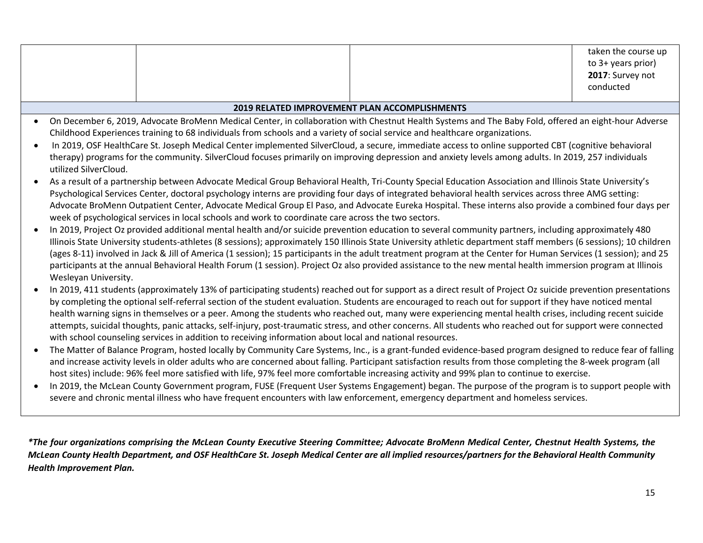|  |                                                                                                                                                      | taken the course up<br>to 3+ years prior)<br>2017: Survey not<br>conducted |
|--|------------------------------------------------------------------------------------------------------------------------------------------------------|----------------------------------------------------------------------------|
|  | <b>2019 RELATED IMPROVEMENT PLAN ACCOMPLISHMENTS</b>                                                                                                 |                                                                            |
|  | On December 6, 2019, Advocate BroMenn Medical Center, in collaboration with Chestnut Health Systems and The Baby Fold, offered an eight-hour Adverse |                                                                            |

- Childhood Experiences training to 68 individuals from schools and a variety of social service and healthcare organizations.
- In 2019, OSF HealthCare St. Joseph Medical Center implemented SilverCloud, a secure, immediate access to online supported CBT (cognitive behavioral therapy) programs for the community. SilverCloud focuses primarily on improving depression and anxiety levels among adults. In 2019, 257 individuals utilized SilverCloud.
- As a result of a partnership between Advocate Medical Group Behavioral Health, Tri-County Special Education Association and Illinois State University's Psychological Services Center, doctoral psychology interns are providing four days of integrated behavioral health services across three AMG setting: Advocate BroMenn Outpatient Center, Advocate Medical Group El Paso, and Advocate Eureka Hospital. These interns also provide a combined four days per week of psychological services in local schools and work to coordinate care across the two sectors.
- In 2019, Project Oz provided additional mental health and/or suicide prevention education to several community partners, including approximately 480 Illinois State University students-athletes (8 sessions); approximately 150 Illinois State University athletic department staff members (6 sessions); 10 children (ages 8-11) involved in Jack & Jill of America (1 session); 15 participants in the adult treatment program at the Center for Human Services (1 session); and 25 participants at the annual Behavioral Health Forum (1 session). Project Oz also provided assistance to the new mental health immersion program at Illinois Wesleyan University.
- In 2019, 411 students (approximately 13% of participating students) reached out for support as a direct result of Project Oz suicide prevention presentations by completing the optional self-referral section of the student evaluation. Students are encouraged to reach out for support if they have noticed mental health warning signs in themselves or a peer. Among the students who reached out, many were experiencing mental health crises, including recent suicide attempts, suicidal thoughts, panic attacks, self-injury, post-traumatic stress, and other concerns. All students who reached out for support were connected with school counseling services in addition to receiving information about local and national resources.
- The Matter of Balance Program, hosted locally by Community Care Systems, Inc., is a grant-funded evidence-based program designed to reduce fear of falling and increase activity levels in older adults who are concerned about falling. Participant satisfaction results from those completing the 8-week program (all host sites) include: 96% feel more satisfied with life, 97% feel more comfortable increasing activity and 99% plan to continue to exercise.
- In 2019, the McLean County Government program, FUSE (Frequent User Systems Engagement) began. The purpose of the program is to support people with severe and chronic mental illness who have frequent encounters with law enforcement, emergency department and homeless services.

*\*The four organizations comprising the McLean County Executive Steering Committee; Advocate BroMenn Medical Center, Chestnut Health Systems, the McLean County Health Department, and OSF HealthCare St. Joseph Medical Center are all implied resources/partners for the Behavioral Health Community Health Improvement Plan.*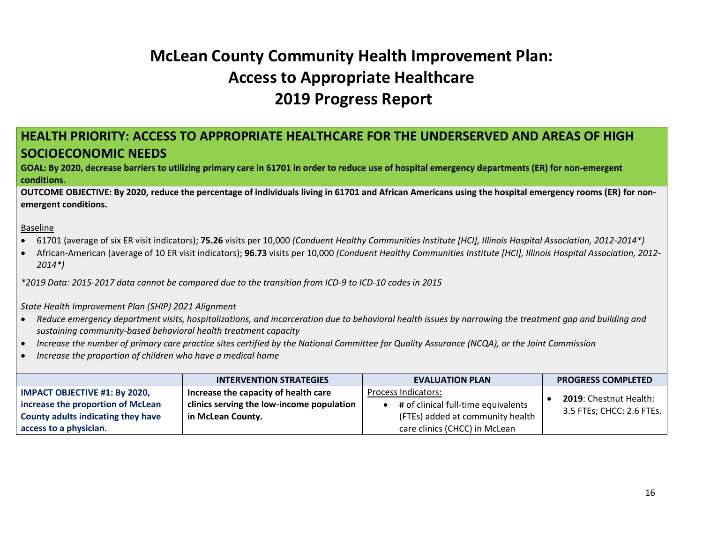# **McLean County Community Health Improvement Plan: Access to Appropriate Healthcare 2019 Progress Report**

# <span id="page-15-0"></span>**HEALTH PRIORITY: ACCESS TO APPROPRIATE HEALTHCARE FOR THE UNDERSERVED AND AREAS OF HIGH SOCIOECONOMIC NEEDS**

**GOAL: By 2020, decrease barriers to utilizing primary care in 61701 in order to reduce use of hospital emergency departments (ER) for non-emergent conditions.**

**OUTCOME OBJECTIVE: By 2020, reduce the percentage of individuals living in 61701 and African Americans using the hospital emergency rooms (ER) for nonemergent conditions.** 

Baseline

- 61701 (average of six ER visit indicators); **75.26** visits per 10,000 *(Conduent Healthy Communities Institute [HCI], Illinois Hospital Association, 2012-2014\*)*
- African-American (average of 10 ER visit indicators); **96.73** visits per 10,000 *(Conduent Healthy Communities Institute [HCI], Illinois Hospital Association, 2012- 2014\*)*

*\*2019 Data: 2015-2017 data cannot be compared due to the transition from ICD-9 to ICD-10 codes in 2015*

## *State Health Improvement Plan (SHIP) 2021 Alignment*

- *Reduce emergency department visits, hospitalizations, and incarceration due to behavioral health issues by narrowing the treatment gap and building and sustaining community-based behavioral health treatment capacity*
- *Increase the number of primary care practice sites certified by the National Committee for Quality Assurance (NCQA), or the Joint Commission*
- *Increase the proportion of children who have a medical home*

|                                      | <b>INTERVENTION STRATEGIES</b>            | <b>EVALUATION PLAN</b>              | <b>PROGRESS COMPLETED</b>     |
|--------------------------------------|-------------------------------------------|-------------------------------------|-------------------------------|
| <b>IMPACT OBJECTIVE #1: By 2020,</b> | Increase the capacity of health care      | Process Indicators:                 |                               |
| increase the proportion of McLean    | clinics serving the low-income population | # of clinical full-time equivalents | <b>2019: Chestnut Health:</b> |
| County adults indicating they have   | in McLean County.                         | (FTEs) added at community health    | 3.5 FTEs; CHCC: 2.6 FTEs.     |
| access to a physician.               |                                           | care clinics (CHCC) in McLean       |                               |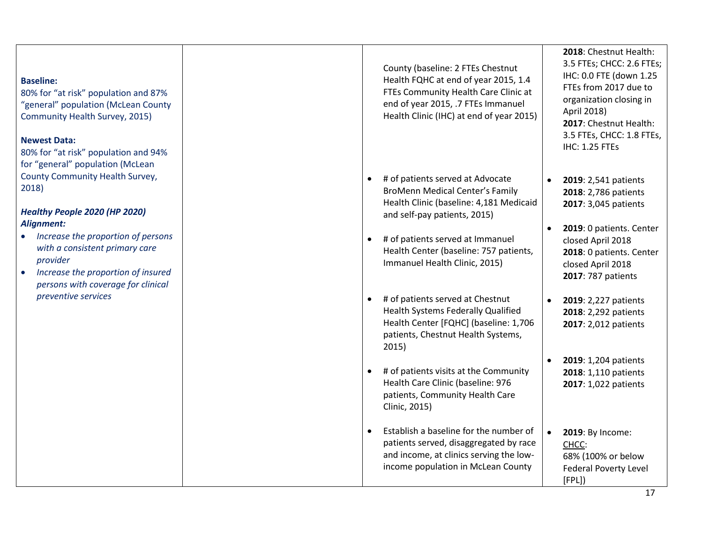### **Baseline:**

80% for "at risk" population and 87%<br>"general" population (McLean County Community Health Survey, 2015)

## **Newest Data:**

80% for "at risk" population and 94% for "general " population (McLean County Community Health Survey, 2018)

# *Healthy People 2020 (HP 2020) Alignment:*

- *Increase the proportion of persons with a consistent primary care provider*
- *Increase the proportion of insured persons with coverage for clinical preventive services*

County (baseline: 2 FTEs Chestnut Health FQHC at end of year 2015, 1.4 FTEs Community Health Care Clinic at end of year 2015, .7 FTEs Immanuel Health Clinic (IHC) at end of year 2015)

- # of patients served at Advocate BroMenn Medical Center's Family Health Clinic (baseline: 4 ,181 Medicaid and self -pay patients, 2015)
- # of patients served at Immanuel Health Center (baseline: 757 patients, Immanuel Health Clinic, 2015)
- # of patients served at Chestnut Health Systems Federally Qualified Health Center [FQHC] (baseline: 1,706 patients, Chestnut Health Systems, 2015)
- # of patients visits at the Community Health Care Clinic (baseline: 976 patients, Community Health Care Clinic, 2015)
- Establish a baseline for the number of patients served , disaggregated by race and income , at clinics serving the low income population in McLean County

**2018**: Chestnut Health: 3.5 FTEs; CHCC: 2.6 FTEs; IHC: 0.0 FTE (down 1.25 FTEs from 2017 due to organization closing in April 2018) **2017**: Chestnut Health: 3.5 FTEs, CHCC: 1.8 FTEs, IHC: 1.25 FTEs

- **2019**: 2,541 patients **2018**: 2,786 patients **2017**: 3,045 patients
- **2019**: 0 patients. Center closed April 2018 **2018**: 0 patients. Center closed April 2018 **2017**: 787 patients
- **2019**: 2,227 patients **2018**: 2,292 patients **2017**: 2,012 patients
- **2019**: 1,204 patients **2018**: 1,110 patients **2017**: 1,022 patients
- **2019**: By Income: <u>CHCC</u>: 68% (100% or below Federal Poverty Level [FPL] )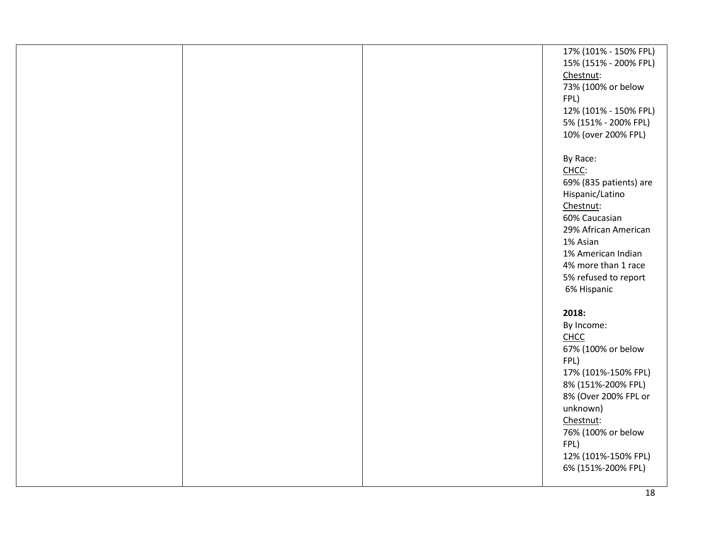|  | 17% (101% - 150% FPL)  |
|--|------------------------|
|  | 15% (151% - 200% FPL)  |
|  | Chestnut:              |
|  | 73% (100% or below     |
|  | FPL)                   |
|  | 12% (101% - 150% FPL)  |
|  | 5% (151% - 200% FPL)   |
|  | 10% (over 200% FPL)    |
|  |                        |
|  | By Race:               |
|  | CHCC:                  |
|  |                        |
|  | 69% (835 patients) are |
|  | Hispanic/Latino        |
|  | Chestnut:              |
|  | 60% Caucasian          |
|  | 29% African American   |
|  | 1% Asian               |
|  | 1% American Indian     |
|  | 4% more than 1 race    |
|  | 5% refused to report   |
|  | 6% Hispanic            |
|  |                        |
|  | 2018:                  |
|  | By Income:             |
|  | <b>CHCC</b>            |
|  | 67% (100% or below     |
|  | FPL)                   |
|  | 17% (101%-150% FPL)    |
|  | 8% (151%-200% FPL)     |
|  | 8% (Over 200% FPL or   |
|  | unknown)               |
|  | Chestnut:              |
|  | 76% (100% or below     |
|  |                        |
|  | FPL)                   |
|  | 12% (101%-150% FPL)    |
|  | 6% (151%-200% FPL)     |
|  |                        |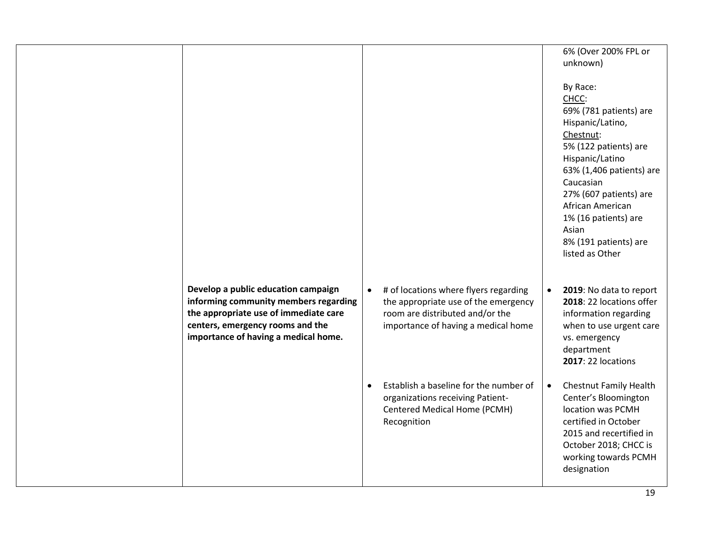|                                                                                                                                                                                                   |                                                                                                                                                                      | 6% (Over 200% FPL or<br>unknown)                                                                                                                                                                                                                                                             |
|---------------------------------------------------------------------------------------------------------------------------------------------------------------------------------------------------|----------------------------------------------------------------------------------------------------------------------------------------------------------------------|----------------------------------------------------------------------------------------------------------------------------------------------------------------------------------------------------------------------------------------------------------------------------------------------|
|                                                                                                                                                                                                   |                                                                                                                                                                      | By Race:<br>CHCC:<br>69% (781 patients) are<br>Hispanic/Latino,<br>Chestnut:<br>5% (122 patients) are<br>Hispanic/Latino<br>63% (1,406 patients) are<br>Caucasian<br>27% (607 patients) are<br>African American<br>1% (16 patients) are<br>Asian<br>8% (191 patients) are<br>listed as Other |
| Develop a public education campaign<br>informing community members regarding<br>the appropriate use of immediate care<br>centers, emergency rooms and the<br>importance of having a medical home. | # of locations where flyers regarding<br>$\bullet$<br>the appropriate use of the emergency<br>room are distributed and/or the<br>importance of having a medical home | 2019: No data to report<br>$\bullet$<br>2018: 22 locations offer<br>information regarding<br>when to use urgent care<br>vs. emergency<br>department<br>2017: 22 locations                                                                                                                    |
|                                                                                                                                                                                                   | Establish a baseline for the number of<br>$\bullet$<br>organizations receiving Patient-<br>Centered Medical Home (PCMH)<br>Recognition                               | Chestnut Family Health<br>$\bullet$<br>Center's Bloomington<br>location was PCMH<br>certified in October<br>2015 and recertified in<br>October 2018; CHCC is<br>working towards PCMH<br>designation                                                                                          |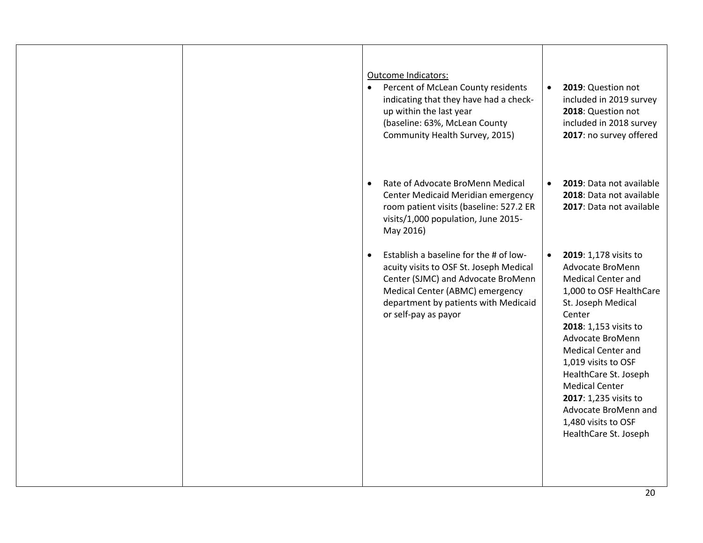|  | Outcome Indicators:<br>Percent of McLean County residents<br>$\bullet$<br>indicating that they have had a check-<br>up within the last year<br>(baseline: 63%, McLean County<br>Community Health Survey, 2015)                          | 2019: Question not<br>$\bullet$<br>included in 2019 survey<br>2018: Question not<br>included in 2018 survey<br>2017: no survey offered                                                                                                                                                                                                                                                             |
|--|-----------------------------------------------------------------------------------------------------------------------------------------------------------------------------------------------------------------------------------------|----------------------------------------------------------------------------------------------------------------------------------------------------------------------------------------------------------------------------------------------------------------------------------------------------------------------------------------------------------------------------------------------------|
|  | Rate of Advocate BroMenn Medical<br>$\bullet$<br>Center Medicaid Meridian emergency<br>room patient visits (baseline: 527.2 ER<br>visits/1,000 population, June 2015-<br>May 2016)                                                      | 2019: Data not available<br>$\bullet$<br>2018: Data not available<br>2017: Data not available                                                                                                                                                                                                                                                                                                      |
|  | Establish a baseline for the # of low-<br>$\bullet$<br>acuity visits to OSF St. Joseph Medical<br>Center (SJMC) and Advocate BroMenn<br>Medical Center (ABMC) emergency<br>department by patients with Medicaid<br>or self-pay as payor | 2019: 1,178 visits to<br>$\bullet$<br>Advocate BroMenn<br><b>Medical Center and</b><br>1,000 to OSF HealthCare<br>St. Joseph Medical<br>Center<br>2018: 1,153 visits to<br>Advocate BroMenn<br><b>Medical Center and</b><br>1,019 visits to OSF<br>HealthCare St. Joseph<br><b>Medical Center</b><br>2017: 1,235 visits to<br>Advocate BroMenn and<br>1,480 visits to OSF<br>HealthCare St. Joseph |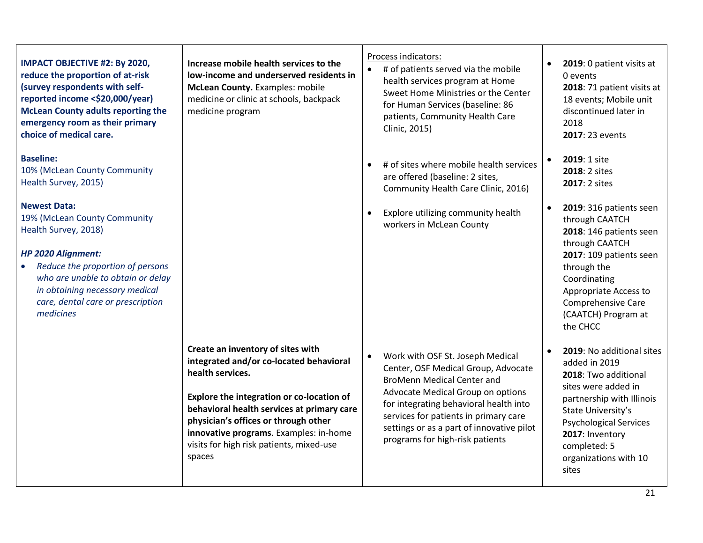# **IMPACT OBJECTIVE #2: By 2020, reduce the proportion of at-risk (survey respondents with selfreported income <\$20,000/year) McLean County adults reporting the emergency room as their primary choice of medical care.**

## **Baseline:**

10% (McLean County Community Health Survey, 2015)

## **Newest Data:**

19% (McLean County Community Health Survey, 2018)

# *HP 2020 Alignment:*

• *Reduce the proportion of persons who are unable to obtain or delay in obtaining necessary medical care, dental care or prescription medicines*

**Increase mobile health services to the low-income and underserved residents in McLean County.** Examples: mobile medicine or clinic at schools, backpack medicine program

**Create an inventory of sites with integrated and/or co-located behavioral health services.**

**Explore the integration or co-location of behavioral health services at primary care physician's offices or through other innovative programs**. Examples: in-home visits for high risk patients, mixed-use spaces

# Process indicators:

- # of patients served via the mobile health services program at Home Sweet Home Ministries or the Center for Human Services (baseline: 86 patients, Community Health Care Clinic, 2015)
- # of sites where mobile health services are offered (baseline: 2 sites, Community Health Care Clinic, 2016)
- Explore utilizing community health workers in McLean County

• Work with OSF St. Joseph Medical Center, OSF Medical Group, Advocate BroMenn Medical Center and Advocate Medical Group on options for integrating behavioral health into services for patients in primary care

settings or as a part of innovative pilot

programs for high-risk patients

- **2019**: 0 patient visits at 0 events **2018**: 71 patient visits at 18 events; Mobile unit discontinued later in 2018 **2017**: 23 events
- **2019**: 1 site **2018**: 2 sites **2017**: 2 sites
- **2019**: 316 patients seen through CAATCH **2018**: 146 patients seen through CAATCH **2017**: 109 patients seen through the Coordinating Appropriate Access to Comprehensive Care (CAATCH) Program at the CHCC
- **2019**: No additional sites added in 2019 **2018**: Two additional sites were added in partnership with Illinois State University's Psychological Services **2017**: Inventory completed: 5 organizations with 10 sites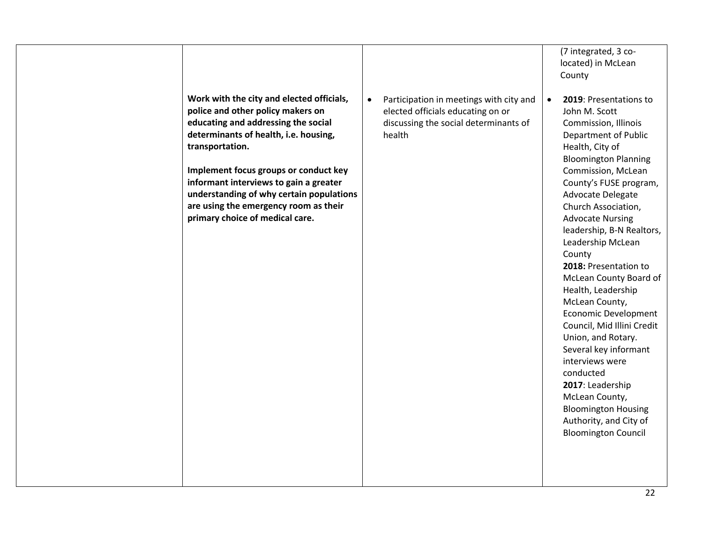|                                                                                                                                                                                                                                                                                                                                                                                              |                                                                                                                                 | (7 integrated, 3 co-<br>located) in McLean<br>County                                                                                                                                                                                                                                                                                                                                                                                                                                                                                                                                                                                                                                                         |
|----------------------------------------------------------------------------------------------------------------------------------------------------------------------------------------------------------------------------------------------------------------------------------------------------------------------------------------------------------------------------------------------|---------------------------------------------------------------------------------------------------------------------------------|--------------------------------------------------------------------------------------------------------------------------------------------------------------------------------------------------------------------------------------------------------------------------------------------------------------------------------------------------------------------------------------------------------------------------------------------------------------------------------------------------------------------------------------------------------------------------------------------------------------------------------------------------------------------------------------------------------------|
| Work with the city and elected officials,<br>police and other policy makers on<br>educating and addressing the social<br>determinants of health, i.e. housing,<br>transportation.<br>Implement focus groups or conduct key<br>informant interviews to gain a greater<br>understanding of why certain populations<br>are using the emergency room as their<br>primary choice of medical care. | Participation in meetings with city and<br>elected officials educating on or<br>discussing the social determinants of<br>health | 2019: Presentations to<br>$\bullet$<br>John M. Scott<br>Commission, Illinois<br>Department of Public<br>Health, City of<br><b>Bloomington Planning</b><br>Commission, McLean<br>County's FUSE program,<br>Advocate Delegate<br>Church Association,<br><b>Advocate Nursing</b><br>leadership, B-N Realtors,<br>Leadership McLean<br>County<br>2018: Presentation to<br>McLean County Board of<br>Health, Leadership<br>McLean County,<br><b>Economic Development</b><br>Council, Mid Illini Credit<br>Union, and Rotary.<br>Several key informant<br>interviews were<br>conducted<br>2017: Leadership<br>McLean County,<br><b>Bloomington Housing</b><br>Authority, and City of<br><b>Bloomington Council</b> |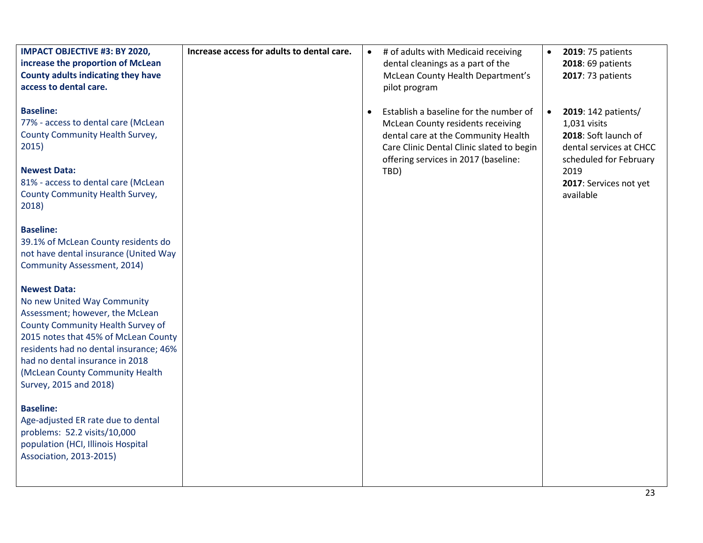| <b>IMPACT OBJECTIVE #3: BY 2020,</b><br>increase the proportion of McLean<br>County adults indicating they have<br>access to dental care.                                                                                                                                                                    | Increase access for adults to dental care. | $\bullet$ | # of adults with Medicaid receiving<br>dental cleanings as a part of the<br>McLean County Health Department's<br>pilot program                                                                          | $\bullet$ | 2019: 75 patients<br>2018: 69 patients<br>2017: 73 patients                                                      |
|--------------------------------------------------------------------------------------------------------------------------------------------------------------------------------------------------------------------------------------------------------------------------------------------------------------|--------------------------------------------|-----------|---------------------------------------------------------------------------------------------------------------------------------------------------------------------------------------------------------|-----------|------------------------------------------------------------------------------------------------------------------|
| <b>Baseline:</b><br>77% - access to dental care (McLean<br>County Community Health Survey,<br>2015)                                                                                                                                                                                                          |                                            |           | Establish a baseline for the number of<br>McLean County residents receiving<br>dental care at the Community Health<br>Care Clinic Dental Clinic slated to begin<br>offering services in 2017 (baseline: | $\bullet$ | 2019: 142 patients/<br>1,031 visits<br>2018: Soft launch of<br>dental services at CHCC<br>scheduled for February |
| <b>Newest Data:</b><br>81% - access to dental care (McLean<br>County Community Health Survey,<br>2018)                                                                                                                                                                                                       |                                            |           | TBD)                                                                                                                                                                                                    |           | 2019<br>2017: Services not yet<br>available                                                                      |
| <b>Baseline:</b><br>39.1% of McLean County residents do<br>not have dental insurance (United Way<br>Community Assessment, 2014)                                                                                                                                                                              |                                            |           |                                                                                                                                                                                                         |           |                                                                                                                  |
| <b>Newest Data:</b><br>No new United Way Community<br>Assessment; however, the McLean<br>County Community Health Survey of<br>2015 notes that 45% of McLean County<br>residents had no dental insurance; 46%<br>had no dental insurance in 2018<br>(McLean County Community Health<br>Survey, 2015 and 2018) |                                            |           |                                                                                                                                                                                                         |           |                                                                                                                  |
| <b>Baseline:</b><br>Age-adjusted ER rate due to dental<br>problems: 52.2 visits/10,000<br>population (HCI, Illinois Hospital<br>Association, 2013-2015)                                                                                                                                                      |                                            |           |                                                                                                                                                                                                         |           |                                                                                                                  |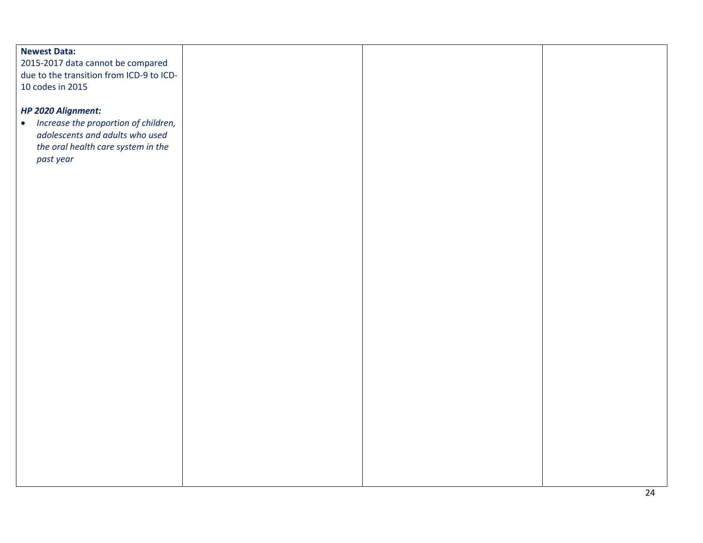# **Newest Data:** 2015-2017 data cannot be compared due to the transition from ICD-9 to ICD-10 codes in 2015 *HP 2020 Alignment:*  • *Increase the proportion of children, adolescents and adults who used the oral health care system in the past year*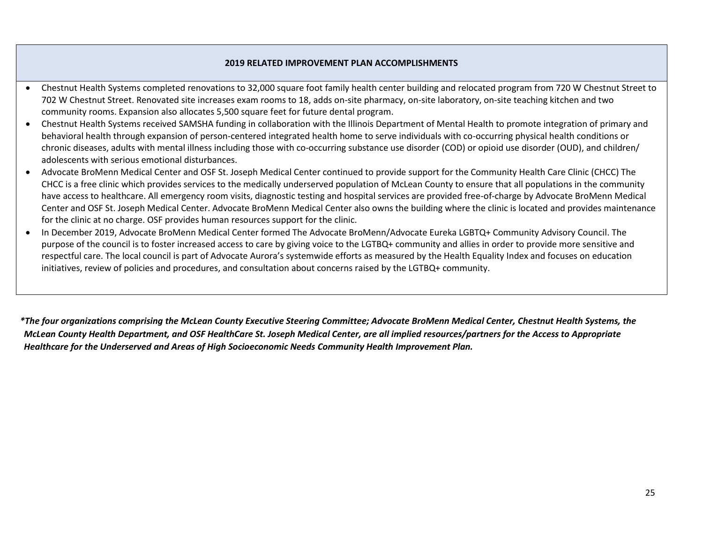## **2019 RELATED IMPROVEMENT PLAN ACCOMPLISHMENTS**

- Chestnut Health Systems completed renovations to 32,000 square foot family health center building and relocated program from 720 W Chestnut Street to 702 W Chestnut Street. Renovated site increases exam rooms to 18, adds on-site pharmacy, on-site laboratory, on-site teaching kitchen and two community rooms. Expansion also allocates 5,500 square feet for future dental program.
- Chestnut Health Systems received SAMSHA funding in collaboration with the Illinois Department of Mental Health to promote integration of primary and behavioral health through expansion of person-centered integrated health home to serve individuals with co-occurring physical health conditions or chronic diseases, adults with mental illness including those with co-occurring substance use disorder (COD) or opioid use disorder (OUD), and children/ adolescents with serious emotional disturbances.
- Advocate BroMenn Medical Center and OSF St. Joseph Medical Center continued to provide support for the Community Health Care Clinic (CHCC) The CHCC is a free clinic which provides services to the medically underserved population of McLean County to ensure that all populations in the community have access to healthcare. All emergency room visits, diagnostic testing and hospital services are provided free-of-charge by Advocate BroMenn Medical Center and OSF St. Joseph Medical Center. Advocate BroMenn Medical Center also owns the building where the clinic is located and provides maintenance for the clinic at no charge. OSF provides human resources support for the clinic.
- In December 2019, Advocate BroMenn Medical Center formed The Advocate BroMenn/Advocate Eureka LGBTQ+ Community Advisory Council. The purpose of the council is to foster increased access to care by giving voice to the LGTBQ+ community and allies in order to provide more sensitive and respectful care. The local council is part of Advocate Aurora's systemwide efforts as measured by the Health Equality Index and focuses on education initiatives, review of policies and procedures, and consultation about concerns raised by the LGTBQ+ community.

*\*The four organizations comprising the McLean County Executive Steering Committee; Advocate BroMenn Medical Center, Chestnut Health Systems, the McLean County Health Department, and OSF HealthCare St. Joseph Medical Center, are all implied resources/partners for the Access to Appropriate Healthcare for the Underserved and Areas of High Socioeconomic Needs Community Health Improvement Plan.*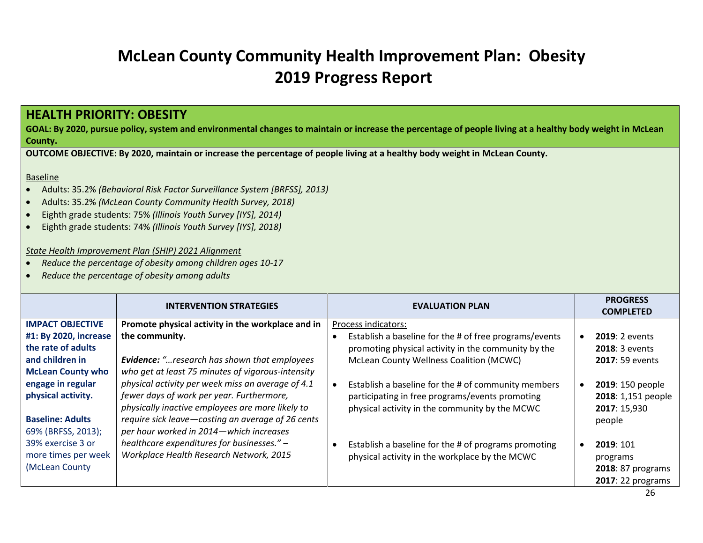# **McLean County Community Health Improvement Plan: Obesity 2019 Progress Report**

# <span id="page-25-0"></span>**HEALTH PRIORITY: OBESITY**

**GOAL: By 2020, pursue policy, system and environmental changes to maintain or increase the percentage of people living at a healthy body weight in McLean County.**

**OUTCOME OBJECTIVE: By 2020, maintain or increase the percentage of people living at a healthy body weight in McLean County.**

#### Baseline

- Adults: 35.2% *(Behavioral Risk Factor Surveillance System [BRFSS], 2013)*
- Adults: 35.2% *(McLean County Community Health Survey, 2018)*
- Eighth grade students: 75% *(Illinois Youth Survey [IYS], 2014)*
- Eighth grade students: 74% *(Illinois Youth Survey [IYS], 2018)*

#### *State Health Improvement Plan (SHIP) 2021 Alignment*

- *Reduce the percentage of obesity among children ages 10-17*
- *Reduce the percentage of obesity among adults*

|                          | <b>INTERVENTION STRATEGIES</b>                      | <b>EVALUATION PLAN</b>                                            | <b>PROGRESS</b><br><b>COMPLETED</b> |
|--------------------------|-----------------------------------------------------|-------------------------------------------------------------------|-------------------------------------|
| <b>IMPACT OBJECTIVE</b>  | Promote physical activity in the workplace and in   | Process indicators:                                               |                                     |
| #1: By 2020, increase    | the community.                                      | Establish a baseline for the # of free programs/events            | <b>2019</b> : 2 events              |
| the rate of adults       |                                                     | promoting physical activity in the community by the               | <b>2018: 3 events</b>               |
| and children in          | <b>Evidence:</b> "research has shown that employees | McLean County Wellness Coalition (MCWC)                           | <b>2017: 59 events</b>              |
| <b>McLean County who</b> | who get at least 75 minutes of vigorous-intensity   |                                                                   |                                     |
| engage in regular        | physical activity per week miss an average of 4.1   | Establish a baseline for the # of community members               | 2019: 150 people                    |
| physical activity.       | fewer days of work per year. Furthermore,           | participating in free programs/events promoting                   | 2018: 1,151 people                  |
|                          | physically inactive employees are more likely to    | physical activity in the community by the MCWC                    | 2017: 15,930                        |
| <b>Baseline: Adults</b>  | require sick leave-costing an average of 26 cents   |                                                                   | people                              |
| 69% (BRFSS, 2013);       | per hour worked in 2014-which increases             |                                                                   |                                     |
| 39% exercise 3 or        | healthcare expenditures for businesses." -          | Establish a baseline for the # of programs promoting<br>$\bullet$ | 2019: 101                           |
| more times per week      | Workplace Health Research Network, 2015             | physical activity in the workplace by the MCWC                    | programs                            |
| (McLean County           |                                                     |                                                                   | 2018: 87 programs                   |
|                          |                                                     |                                                                   | 2017: 22 programs                   |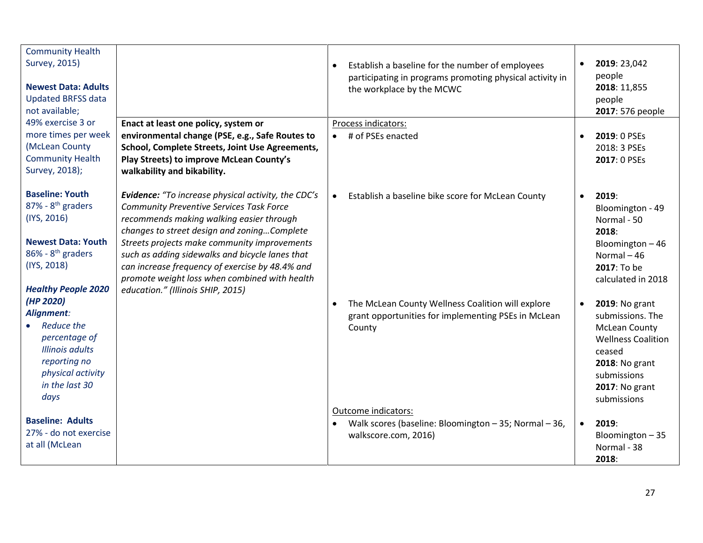| <b>Community Health</b><br>Survey, 2015)<br><b>Newest Data: Adults</b><br><b>Updated BRFSS data</b><br>not available;                                                  |                                                                                                                                                                                                                                                                                                                                                                                                                                                      |           | Establish a baseline for the number of employees<br>participating in programs promoting physical activity in<br>the workplace by the MCWC | $\bullet$ | 2019: 23,042<br>people<br>2018: 11,855<br>people<br>2017: 576 people                                                                                                                     |
|------------------------------------------------------------------------------------------------------------------------------------------------------------------------|------------------------------------------------------------------------------------------------------------------------------------------------------------------------------------------------------------------------------------------------------------------------------------------------------------------------------------------------------------------------------------------------------------------------------------------------------|-----------|-------------------------------------------------------------------------------------------------------------------------------------------|-----------|------------------------------------------------------------------------------------------------------------------------------------------------------------------------------------------|
| 49% exercise 3 or<br>more times per week<br>(McLean County<br><b>Community Health</b><br>Survey, 2018);                                                                | Enact at least one policy, system or<br>environmental change (PSE, e.g., Safe Routes to<br>School, Complete Streets, Joint Use Agreements,<br>Play Streets) to improve McLean County's<br>walkability and bikability.                                                                                                                                                                                                                                | $\bullet$ | Process indicators:<br># of PSEs enacted                                                                                                  | $\bullet$ | 2019: 0 PSEs<br>2018: 3 PSEs<br>2017: 0 PSEs                                                                                                                                             |
| <b>Baseline: Youth</b><br>$87\%$ - $8^{th}$ graders<br>(IYS, 2016)<br><b>Newest Data: Youth</b><br>$86\%$ - $8th$ graders<br>(IYS, 2018)<br><b>Healthy People 2020</b> | <b>Evidence:</b> "To increase physical activity, the CDC's<br><b>Community Preventive Services Task Force</b><br>recommends making walking easier through<br>changes to street design and zoningComplete<br>Streets projects make community improvements<br>such as adding sidewalks and bicycle lanes that<br>can increase frequency of exercise by 48.4% and<br>promote weight loss when combined with health<br>education." (Illinois SHIP, 2015) | $\bullet$ | Establish a baseline bike score for McLean County                                                                                         | $\bullet$ | 2019:<br>Bloomington - 49<br>Normal - 50<br>2018:<br>Bloomington-46<br>Normal $-46$<br>2017: To be<br>calculated in 2018                                                                 |
| (HP 2020)<br>Alignment:<br>Reduce the<br>percentage of<br><b>Illinois adults</b><br>reporting no<br>physical activity<br>in the last 30<br>days                        |                                                                                                                                                                                                                                                                                                                                                                                                                                                      | $\bullet$ | The McLean County Wellness Coalition will explore<br>grant opportunities for implementing PSEs in McLean<br>County                        | $\bullet$ | <b>2019: No grant</b><br>submissions. The<br><b>McLean County</b><br><b>Wellness Coalition</b><br>ceased<br><b>2018: No grant</b><br>submissions<br><b>2017: No grant</b><br>submissions |
| <b>Baseline: Adults</b><br>27% - do not exercise<br>at all (McLean                                                                                                     |                                                                                                                                                                                                                                                                                                                                                                                                                                                      |           | Outcome indicators:<br>Walk scores (baseline: Bloomington - 35; Normal - 36,<br>walkscore.com, 2016)                                      | $\bullet$ | 2019:<br>Bloomington-35<br>Normal - 38<br>2018:                                                                                                                                          |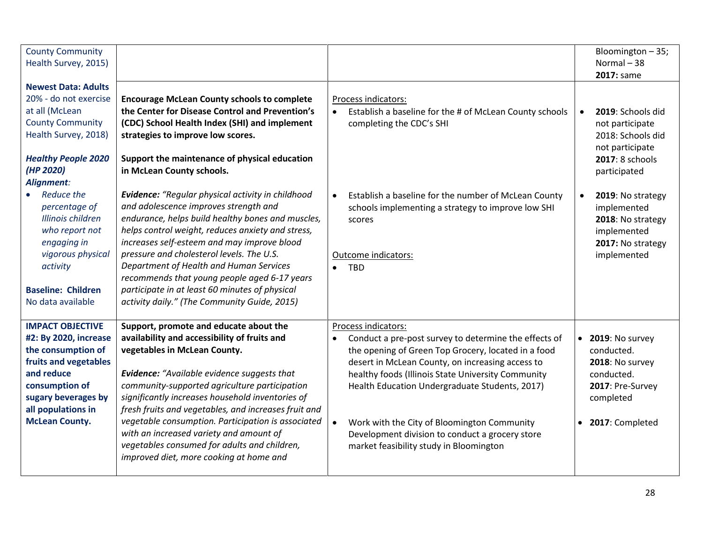| <b>County Community</b><br>Health Survey, 2015)                                                                                                                                                                  |                                                                                                                                                                                                                                                                                                                                                                                                 |                                                                                                                                                                                                                                                                                                              | Bloomington - 35;<br>Normal $-38$<br>2017: same                                                                                                                               |
|------------------------------------------------------------------------------------------------------------------------------------------------------------------------------------------------------------------|-------------------------------------------------------------------------------------------------------------------------------------------------------------------------------------------------------------------------------------------------------------------------------------------------------------------------------------------------------------------------------------------------|--------------------------------------------------------------------------------------------------------------------------------------------------------------------------------------------------------------------------------------------------------------------------------------------------------------|-------------------------------------------------------------------------------------------------------------------------------------------------------------------------------|
| <b>Newest Data: Adults</b><br>20% - do not exercise<br>at all (McLean<br><b>County Community</b><br>Health Survey, 2018)<br><b>Healthy People 2020</b><br>(HP 2020)<br>Alignment:<br>Reduce the<br>percentage of | <b>Encourage McLean County schools to complete</b><br>the Center for Disease Control and Prevention's<br>(CDC) School Health Index (SHI) and implement<br>strategies to improve low scores.<br>Support the maintenance of physical education<br>in McLean County schools.<br><b>Evidence:</b> "Regular physical activity in childhood<br>and adolescence improves strength and                  | Process indicators:<br>Establish a baseline for the # of McLean County schools<br>completing the CDC's SHI<br>Establish a baseline for the number of McLean County<br>$\bullet$<br>schools implementing a strategy to improve low SHI                                                                        | 2019: Schools did<br>$\bullet$<br>not participate<br>2018: Schools did<br>not participate<br>2017: 8 schools<br>participated<br>2019: No strategy<br>$\bullet$<br>implemented |
| Illinois children<br>who report not<br>engaging in<br>vigorous physical<br>activity<br><b>Baseline: Children</b><br>No data available                                                                            | endurance, helps build healthy bones and muscles,<br>helps control weight, reduces anxiety and stress,<br>increases self-esteem and may improve blood<br>pressure and cholesterol levels. The U.S.<br>Department of Health and Human Services<br>recommends that young people aged 6-17 years<br>participate in at least 60 minutes of physical<br>activity daily." (The Community Guide, 2015) | scores<br>Outcome indicators:<br><b>TBD</b><br>$\bullet$                                                                                                                                                                                                                                                     | 2018: No strategy<br>implemented<br>2017: No strategy<br>implemented                                                                                                          |
| <b>IMPACT OBJECTIVE</b><br>#2: By 2020, increase<br>the consumption of<br>fruits and vegetables<br>and reduce<br>consumption of<br>sugary beverages by<br>all populations in                                     | Support, promote and educate about the<br>availability and accessibility of fruits and<br>vegetables in McLean County.<br><b>Evidence:</b> "Available evidence suggests that<br>community-supported agriculture participation<br>significantly increases household inventories of<br>fresh fruits and vegetables, and increases fruit and                                                       | Process indicators:<br>Conduct a pre-post survey to determine the effects of<br>$\bullet$<br>the opening of Green Top Grocery, located in a food<br>desert in McLean County, on increasing access to<br>healthy foods (Illinois State University Community<br>Health Education Undergraduate Students, 2017) | $\bullet$ 2019: No survey<br>conducted.<br>2018: No survey<br>conducted.<br>2017: Pre-Survey<br>completed                                                                     |
| <b>McLean County.</b>                                                                                                                                                                                            | vegetable consumption. Participation is associated<br>with an increased variety and amount of<br>vegetables consumed for adults and children,<br>improved diet, more cooking at home and                                                                                                                                                                                                        | Work with the City of Bloomington Community<br>$\bullet$<br>Development division to conduct a grocery store<br>market feasibility study in Bloomington                                                                                                                                                       | 2017: Completed<br>$\bullet$                                                                                                                                                  |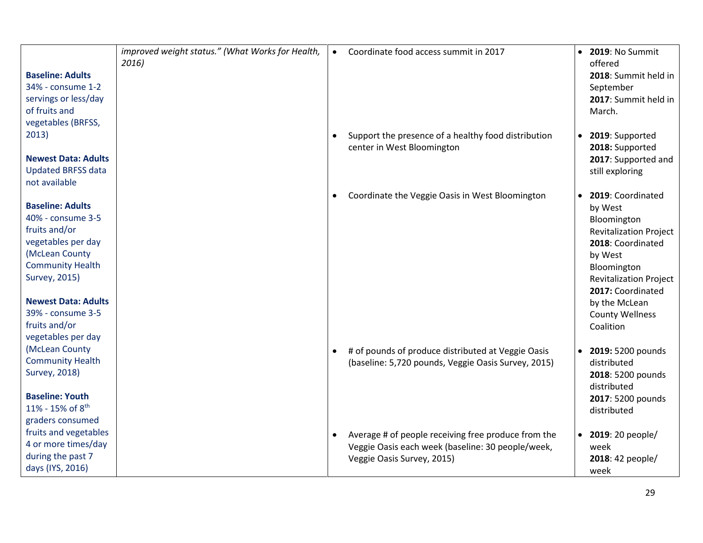| <b>Baseline: Adults</b><br>34% - consume 1-2<br>servings or less/day<br>of fruits and<br>vegetables (BRFSS,                                                                                                                                 | improved weight status." (What Works for Health,<br>2016) | $\bullet$ | Coordinate food access summit in 2017                                                                                                  | $\bullet$ | <b>2019: No Summit</b><br>offered<br>2018: Summit held in<br>September<br>2017: Summit held in<br>March.                                                                                                                                  |
|---------------------------------------------------------------------------------------------------------------------------------------------------------------------------------------------------------------------------------------------|-----------------------------------------------------------|-----------|----------------------------------------------------------------------------------------------------------------------------------------|-----------|-------------------------------------------------------------------------------------------------------------------------------------------------------------------------------------------------------------------------------------------|
| 2013)<br><b>Newest Data: Adults</b>                                                                                                                                                                                                         |                                                           |           | Support the presence of a healthy food distribution<br>center in West Bloomington                                                      | $\bullet$ | 2019: Supported<br>2018: Supported                                                                                                                                                                                                        |
| <b>Updated BRFSS data</b><br>not available                                                                                                                                                                                                  |                                                           |           |                                                                                                                                        |           | 2017: Supported and<br>still exploring                                                                                                                                                                                                    |
| <b>Baseline: Adults</b><br>40% - consume 3-5<br>fruits and/or<br>vegetables per day<br>(McLean County<br><b>Community Health</b><br>Survey, 2015)<br><b>Newest Data: Adults</b><br>39% - consume 3-5<br>fruits and/or<br>vegetables per day |                                                           | $\bullet$ | Coordinate the Veggie Oasis in West Bloomington                                                                                        | $\bullet$ | 2019: Coordinated<br>by West<br>Bloomington<br><b>Revitalization Project</b><br>2018: Coordinated<br>by West<br>Bloomington<br><b>Revitalization Project</b><br>2017: Coordinated<br>by the McLean<br><b>County Wellness</b><br>Coalition |
| (McLean County<br><b>Community Health</b><br><b>Survey, 2018)</b><br><b>Baseline: Youth</b><br>11% - 15% of 8 <sup>th</sup>                                                                                                                 |                                                           |           | # of pounds of produce distributed at Veggie Oasis<br>(baseline: 5,720 pounds, Veggie Oasis Survey, 2015)                              | $\bullet$ | 2019: 5200 pounds<br>distributed<br>2018: 5200 pounds<br>distributed<br>2017: 5200 pounds<br>distributed                                                                                                                                  |
| graders consumed<br>fruits and vegetables<br>4 or more times/day<br>during the past 7<br>days (IYS, 2016)                                                                                                                                   |                                                           | $\bullet$ | Average # of people receiving free produce from the<br>Veggie Oasis each week (baseline: 30 people/week,<br>Veggie Oasis Survey, 2015) | $\bullet$ | 2019: 20 people/<br>week<br>2018: 42 people/<br>week                                                                                                                                                                                      |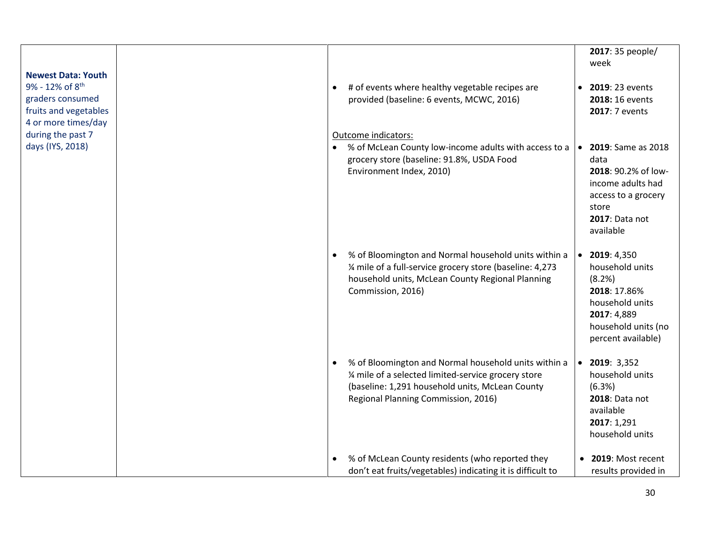| <b>Newest Data: Youth</b><br>9% - 12% of 8 <sup>th</sup><br>graders consumed<br>fruits and vegetables<br>4 or more times/day | # of events where healthy vegetable recipes are<br>provided (baseline: 6 events, MCWC, 2016)                                                                                                           | 2017: 35 people/<br>week<br>• 2019: 23 events<br>2018: 16 events<br>2017: 7 events                                                                 |
|------------------------------------------------------------------------------------------------------------------------------|--------------------------------------------------------------------------------------------------------------------------------------------------------------------------------------------------------|----------------------------------------------------------------------------------------------------------------------------------------------------|
| during the past 7<br>days (IYS, 2018)                                                                                        | Outcome indicators:<br>% of McLean County low-income adults with access to a<br>grocery store (baseline: 91.8%, USDA Food<br>Environment Index, 2010)                                                  | 2019: Same as 2018<br>$\bullet$<br>data<br>2018: 90.2% of low-<br>income adults had<br>access to a grocery<br>store<br>2017: Data not<br>available |
|                                                                                                                              | % of Bloomington and Normal household units within a<br>1/4 mile of a full-service grocery store (baseline: 4,273<br>household units, McLean County Regional Planning<br>Commission, 2016)             | $\bullet$ 2019: 4,350<br>household units<br>(8.2%)<br>2018: 17.86%<br>household units<br>2017: 4,889<br>household units (no<br>percent available)  |
|                                                                                                                              | % of Bloomington and Normal household units within a<br>1/4 mile of a selected limited-service grocery store<br>(baseline: 1,291 household units, McLean County<br>Regional Planning Commission, 2016) | $\bullet$ 2019: 3,352<br>household units<br>(6.3%)<br>2018: Data not<br>available<br>2017: 1,291<br>household units                                |
|                                                                                                                              | % of McLean County residents (who reported they<br>don't eat fruits/vegetables) indicating it is difficult to                                                                                          | 2019: Most recent<br>results provided in                                                                                                           |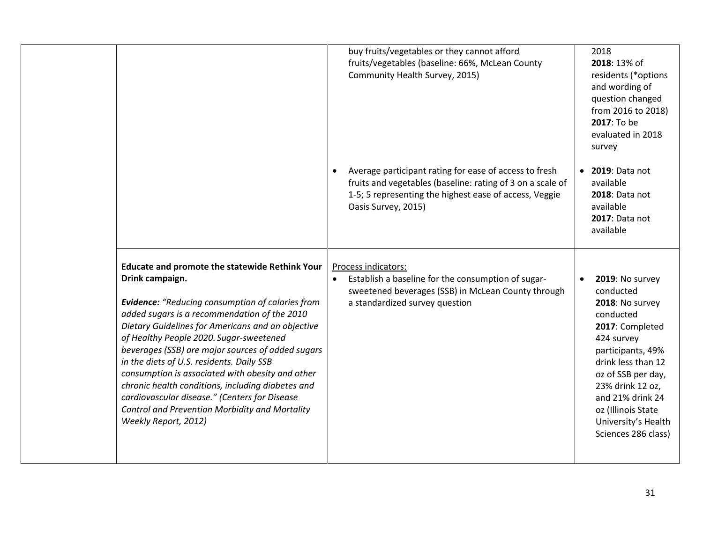|                                                                                                                                                                                                                                                                                                                                                                                                                                                                                                                                                                                                                           | buy fruits/vegetables or they cannot afford<br>fruits/vegetables (baseline: 66%, McLean County<br>Community Health Survey, 2015)                                                                      |           | 2018<br>2018: 13% of<br>residents (*options<br>and wording of<br>question changed<br>from 2016 to 2018)<br>2017: To be<br>evaluated in 2018<br>survey                                                                                                                      |
|---------------------------------------------------------------------------------------------------------------------------------------------------------------------------------------------------------------------------------------------------------------------------------------------------------------------------------------------------------------------------------------------------------------------------------------------------------------------------------------------------------------------------------------------------------------------------------------------------------------------------|-------------------------------------------------------------------------------------------------------------------------------------------------------------------------------------------------------|-----------|----------------------------------------------------------------------------------------------------------------------------------------------------------------------------------------------------------------------------------------------------------------------------|
|                                                                                                                                                                                                                                                                                                                                                                                                                                                                                                                                                                                                                           | Average participant rating for ease of access to fresh<br>fruits and vegetables (baseline: rating of 3 on a scale of<br>1-5; 5 representing the highest ease of access, Veggie<br>Oasis Survey, 2015) |           | • 2019: Data not<br>available<br>2018: Data not<br>available<br>2017: Data not<br>available                                                                                                                                                                                |
| <b>Educate and promote the statewide Rethink Your</b><br>Drink campaign.<br><b>Evidence:</b> "Reducing consumption of calories from<br>added sugars is a recommendation of the 2010<br>Dietary Guidelines for Americans and an objective<br>of Healthy People 2020. Sugar-sweetened<br>beverages (SSB) are major sources of added sugars<br>in the diets of U.S. residents. Daily SSB<br>consumption is associated with obesity and other<br>chronic health conditions, including diabetes and<br>cardiovascular disease." (Centers for Disease<br>Control and Prevention Morbidity and Mortality<br>Weekly Report, 2012) | Process indicators:<br>Establish a baseline for the consumption of sugar-<br>sweetened beverages (SSB) in McLean County through<br>a standardized survey question                                     | $\bullet$ | 2019: No survey<br>conducted<br>2018: No survey<br>conducted<br>2017: Completed<br>424 survey<br>participants, 49%<br>drink less than 12<br>oz of SSB per day,<br>23% drink 12 oz,<br>and 21% drink 24<br>oz (Illinois State<br>University's Health<br>Sciences 286 class) |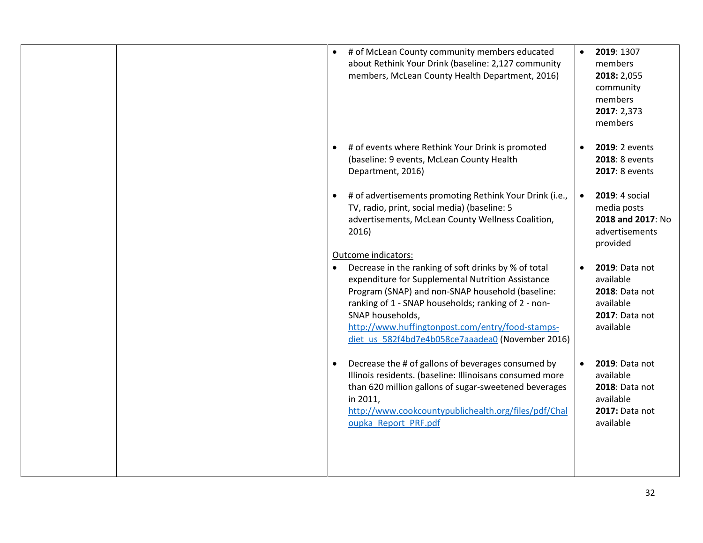|  | $\bullet$ | # of McLean County community members educated<br>about Rethink Your Drink (baseline: 2,127 community<br>members, McLean County Health Department, 2016)                                                                                                                                                                                          | $\bullet$ | 2019: 1307<br>members<br>2018: 2,055<br>community<br>members<br>2017: 2,373<br>members    |
|--|-----------|--------------------------------------------------------------------------------------------------------------------------------------------------------------------------------------------------------------------------------------------------------------------------------------------------------------------------------------------------|-----------|-------------------------------------------------------------------------------------------|
|  | $\bullet$ | # of events where Rethink Your Drink is promoted<br>(baseline: 9 events, McLean County Health<br>Department, 2016)                                                                                                                                                                                                                               | $\bullet$ | 2019: 2 events<br>2018: 8 events<br>2017: 8 events                                        |
|  | $\bullet$ | # of advertisements promoting Rethink Your Drink (i.e.,<br>TV, radio, print, social media) (baseline: 5<br>advertisements, McLean County Wellness Coalition,<br>2016)<br>Outcome indicators:                                                                                                                                                     | $\bullet$ | 2019: 4 social<br>media posts<br>2018 and 2017: No<br>advertisements<br>provided          |
|  | $\bullet$ | Decrease in the ranking of soft drinks by % of total<br>expenditure for Supplemental Nutrition Assistance<br>Program (SNAP) and non-SNAP household (baseline:<br>ranking of 1 - SNAP households; ranking of 2 - non-<br>SNAP households,<br>http://www.huffingtonpost.com/entry/food-stamps-<br>diet us 582f4bd7e4b058ce7aaadea0 (November 2016) | $\bullet$ | 2019: Data not<br>available<br>2018: Data not<br>available<br>2017: Data not<br>available |
|  | $\bullet$ | Decrease the # of gallons of beverages consumed by<br>Illinois residents. (baseline: Illinoisans consumed more<br>than 620 million gallons of sugar-sweetened beverages<br>in 2011,<br>http://www.cookcountypublichealth.org/files/pdf/Chal<br>oupka Report PRF.pdf                                                                              |           | 2019: Data not<br>available<br>2018: Data not<br>available<br>2017: Data not<br>available |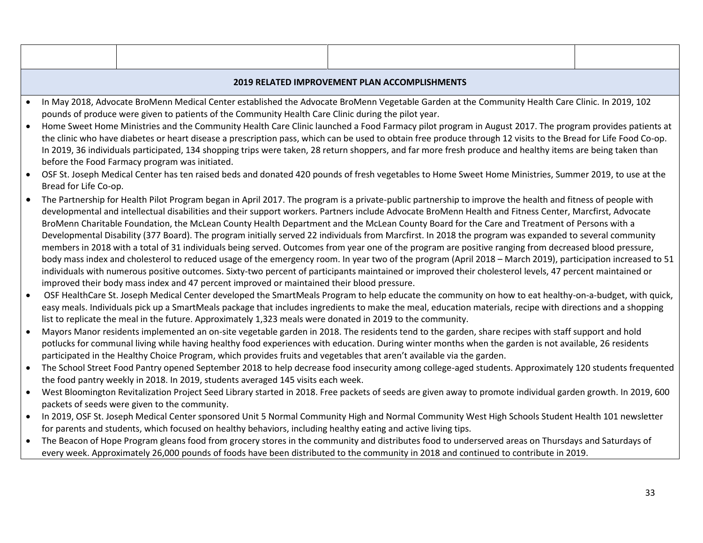| 2019 RELATED IMPROVEMENT PLAN ACCOMPLISHMENTS                                                                                                   |  |  |  |
|-------------------------------------------------------------------------------------------------------------------------------------------------|--|--|--|
| In May 2018, Advocate BroMenn Medical Center established the Advocate BroMenn Vegetable Garden at the Community Health Care Clinic In 2019, 102 |  |  |  |

- Menn Medical Center established the Advocate BroMenn Vegetable Garden at the Community pounds of produce were given to patients of the Community Health Care Clinic during the pilot year.
- Home Sweet Home Ministries and the Community Health Care Clinic launched a Food Farmacy pilot program in August 2017. The program provides patients at the clinic who have diabetes or heart disease a prescription pass, which can be used to obtain free produce through 12 visits to the Bread for Life Food Co-op. In 2019, 36 individuals participated, 134 shopping trips were taken, 28 return shoppers, and far more fresh produce and healthy items are being taken than before the Food Farmacy program was initiated.
- OSF St. Joseph Medical Center has ten raised beds and donated 420 pounds of fresh vegetables to Home Sweet Home Ministries, Summer 2019, to use at the Bread for Life Co-op.
- The Partnership for Health Pilot Program began in April 2017. The program is a private-public partnership to improve the health and fitness of people with developmental and intellectual disabilities and their support workers. Partners include Advocate BroMenn Health and Fitness Center, Marcfirst, Advocate BroMenn Charitable Foundation, the McLean County Health Department and the McLean County Board for the Care and Treatment of Persons with a Developmental Disability (377 Board). The program initially served 22 individuals from Marcfirst. In 2018 the program was expanded to several community members in 2018 with a total of 31 individuals being served. Outcomes from year one of the program are positive ranging from decreased blood pressure, body mass index and cholesterol to reduced usage of the emergency room. In year two of the program (April 2018 – March 2019), participation increased to 51 individuals with numerous positive outcomes. Sixty-two percent of participants maintained or improved their cholesterol levels, 47 percent maintained or improved their body mass index and 47 percent improved or maintained their blood pressure.
- OSF HealthCare St. Joseph Medical Center developed the SmartMeals Program to help educate the community on how to eat healthy-on-a-budget, with quick, easy meals. Individuals pick up a SmartMeals package that includes ingredients to make the meal, education materials, recipe with directions and a shopping list to replicate the meal in the future. Approximately 1,323 meals were donated in 2019 to the community.
- Mayors Manor residents implemented an on-site vegetable garden in 2018. The residents tend to the garden, share recipes with staff support and hold potlucks for communal living while having healthy food experiences with education. During winter months when the garden is not available, 26 residents participated in the Healthy Choice Program, which provides fruits and vegetables that aren't available via the garden.
- The School Street Food Pantry opened September 2018 to help decrease food insecurity among college-aged students. Approximately 120 students frequented the food pantry weekly in 2018. In 2019, students averaged 145 visits each week.
- West Bloomington Revitalization Project Seed Library started in 2018. Free packets of seeds are given away to promote individual garden growth. In 2019, 600 packets of seeds were given to the community.
- In 2019, OSF St. Joseph Medical Center sponsored Unit 5 Normal Community High and Normal Community West High Schools Student Health 101 newsletter for parents and students, which focused on healthy behaviors, including healthy eating and active living tips.
- The Beacon of Hope Program gleans food from grocery stores in the community and distributes food to underserved areas on Thursdays and Saturdays of every week. Approximately 26,000 pounds of foods have been distributed to the community in 2018 and continued to contribute in 2019.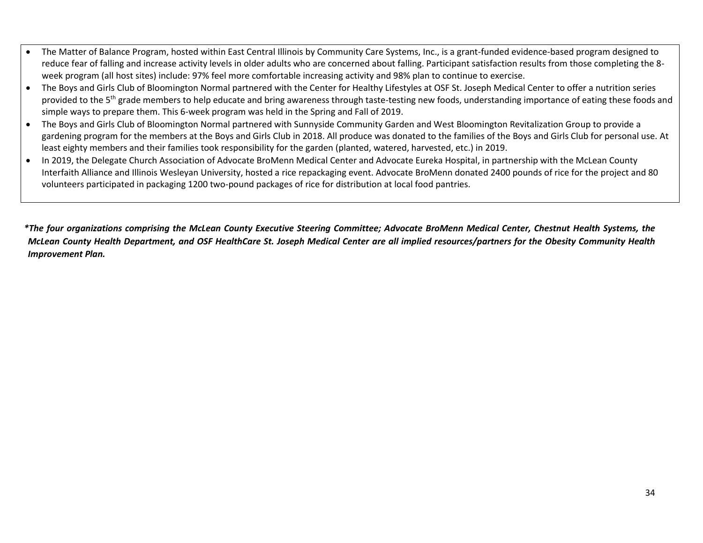- The Matter of Balance Program, hosted within East Central Illinois by Community Care Systems, Inc., is a grant-funded evidence-based program designed to reduce fear of falling and increase activity levels in older adults who are concerned about falling. Participant satisfaction results from those completing the 8 week program (all host sites) include: 97% feel more comfortable increasing activity and 98% plan to continue to exercise.
- The Boys and Girls Club of Bloomington Normal partnered with the Center for Healthy Lifestyles at OSF St. Joseph Medical Center to offer a nutrition series provided to the 5<sup>th</sup> grade members to help educate and bring awareness through taste-testing new foods, understanding importance of eating these foods and simple ways to prepare them. This 6-week program was held in the Spring and Fall of 2019.
- The Boys and Girls Club of Bloomington Normal partnered with Sunnyside Community Garden and West Bloomington Revitalization Group to provide a gardening program for the members at the Boys and Girls Club in 2018. All produce was donated to the families of the Boys and Girls Club for personal use. At least eighty members and their families took responsibility for the garden (planted, watered, harvested, etc.) in 2019.
- In 2019, the Delegate Church Association of Advocate BroMenn Medical Center and Advocate Eureka Hospital, in partnership with the McLean County Interfaith Alliance and Illinois Wesleyan University, hosted a rice repackaging event. Advocate BroMenn donated 2400 pounds of rice for the project and 80 volunteers participated in packaging 1200 two-pound packages of rice for distribution at local food pantries.

*\*The four organizations comprising the McLean County Executive Steering Committee; Advocate BroMenn Medical Center, Chestnut Health Systems, the McLean County Health Department, and OSF HealthCare St. Joseph Medical Center are all implied resources/partners for the Obesity Community Health Improvement Plan.*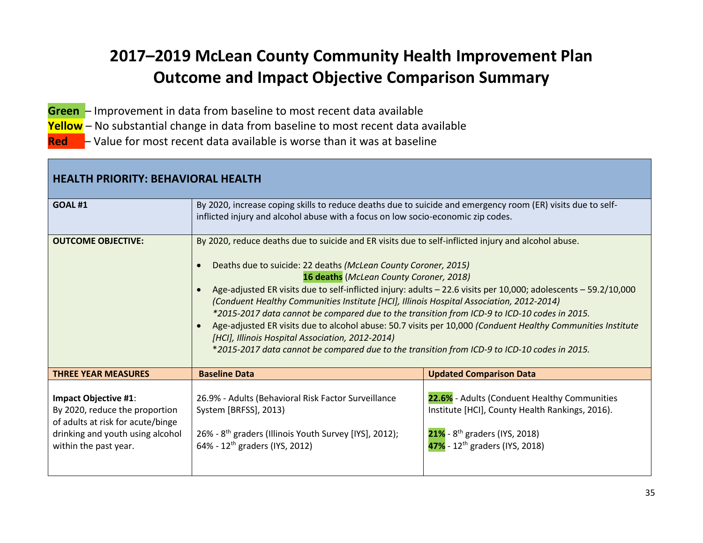# **2017–2019 McLean County Community Health Improvement Plan Outcome and Impact Objective Comparison Summary**

- <span id="page-34-0"></span>**Green** – Improvement in data from baseline to most recent data available
- **Yellow** No substantial change in data from baseline to most recent data available
- **Red** Value for most recent data available is worse than it was at baseline

| <b>HEALTH PRIORITY: BEHAVIORAL HEALTH</b>                                                                                                                |                                                                                                                                                                                                                                                                                                                                                                                                                                                                                                                                                                                                                                                                                                                                                                                                                                           |                                                                                                                                                                                               |  |  |
|----------------------------------------------------------------------------------------------------------------------------------------------------------|-------------------------------------------------------------------------------------------------------------------------------------------------------------------------------------------------------------------------------------------------------------------------------------------------------------------------------------------------------------------------------------------------------------------------------------------------------------------------------------------------------------------------------------------------------------------------------------------------------------------------------------------------------------------------------------------------------------------------------------------------------------------------------------------------------------------------------------------|-----------------------------------------------------------------------------------------------------------------------------------------------------------------------------------------------|--|--|
| <b>GOAL #1</b>                                                                                                                                           | By 2020, increase coping skills to reduce deaths due to suicide and emergency room (ER) visits due to self-<br>inflicted injury and alcohol abuse with a focus on low socio-economic zip codes.                                                                                                                                                                                                                                                                                                                                                                                                                                                                                                                                                                                                                                           |                                                                                                                                                                                               |  |  |
| <b>OUTCOME OBJECTIVE:</b>                                                                                                                                | By 2020, reduce deaths due to suicide and ER visits due to self-inflicted injury and alcohol abuse.<br>Deaths due to suicide: 22 deaths (McLean County Coroner, 2015)<br>$\bullet$<br>16 deaths (McLean County Coroner, 2018)<br>Age-adjusted ER visits due to self-inflicted injury: adults - 22.6 visits per 10,000; adolescents - 59.2/10,000<br>$\bullet$<br>(Conduent Healthy Communities Institute [HCI], Illinois Hospital Association, 2012-2014)<br>*2015-2017 data cannot be compared due to the transition from ICD-9 to ICD-10 codes in 2015.<br>Age-adjusted ER visits due to alcohol abuse: 50.7 visits per 10,000 (Conduent Healthy Communities Institute<br>$\bullet$<br>[HCI], Illinois Hospital Association, 2012-2014)<br>*2015-2017 data cannot be compared due to the transition from ICD-9 to ICD-10 codes in 2015. |                                                                                                                                                                                               |  |  |
| <b>THREE YEAR MEASURES</b>                                                                                                                               | <b>Baseline Data</b>                                                                                                                                                                                                                                                                                                                                                                                                                                                                                                                                                                                                                                                                                                                                                                                                                      | <b>Updated Comparison Data</b>                                                                                                                                                                |  |  |
| Impact Objective #1:<br>By 2020, reduce the proportion<br>of adults at risk for acute/binge<br>drinking and youth using alcohol<br>within the past year. | 26.9% - Adults (Behavioral Risk Factor Surveillance<br>System [BRFSS], 2013)<br>26% - 8 <sup>th</sup> graders (Illinois Youth Survey [IYS], 2012);<br>64% - 12 <sup>th</sup> graders (IYS, 2012)                                                                                                                                                                                                                                                                                                                                                                                                                                                                                                                                                                                                                                          | 22.6% - Adults (Conduent Healthy Communities<br>Institute [HCI], County Health Rankings, 2016).<br>$21\%$ - 8 <sup>th</sup> graders (IYS, 2018)<br>47% - 12 <sup>th</sup> graders (IYS, 2018) |  |  |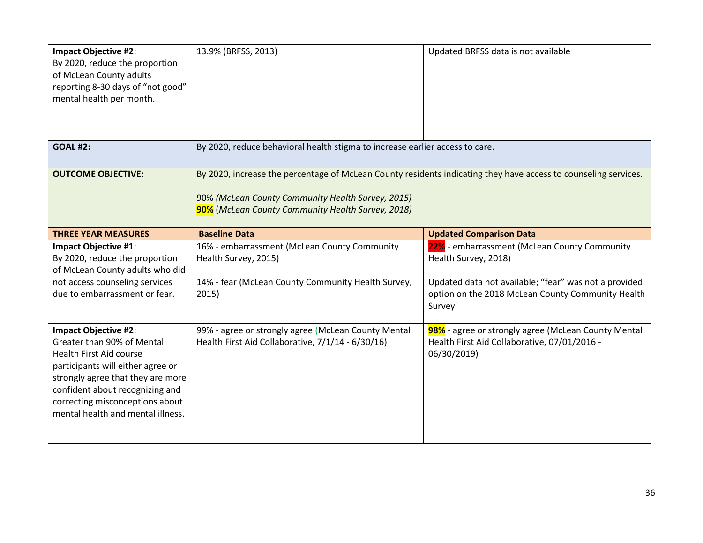| <b>Impact Objective #2:</b><br>By 2020, reduce the proportion<br>of McLean County adults<br>reporting 8-30 days of "not good"<br>mental health per month.                                                                                                                        | 13.9% (BRFSS, 2013)                                                                                                                                                                                                       | Updated BRFSS data is not available                                                                                                                                                          |
|----------------------------------------------------------------------------------------------------------------------------------------------------------------------------------------------------------------------------------------------------------------------------------|---------------------------------------------------------------------------------------------------------------------------------------------------------------------------------------------------------------------------|----------------------------------------------------------------------------------------------------------------------------------------------------------------------------------------------|
| <b>GOAL #2:</b>                                                                                                                                                                                                                                                                  | By 2020, reduce behavioral health stigma to increase earlier access to care.                                                                                                                                              |                                                                                                                                                                                              |
| <b>OUTCOME OBJECTIVE:</b>                                                                                                                                                                                                                                                        | By 2020, increase the percentage of McLean County residents indicating they have access to counseling services.<br>90% (McLean County Community Health Survey, 2015)<br>90% (McLean County Community Health Survey, 2018) |                                                                                                                                                                                              |
| <b>THREE YEAR MEASURES</b>                                                                                                                                                                                                                                                       | <b>Baseline Data</b>                                                                                                                                                                                                      | <b>Updated Comparison Data</b>                                                                                                                                                               |
| Impact Objective #1:<br>By 2020, reduce the proportion<br>of McLean County adults who did<br>not access counseling services<br>due to embarrassment or fear.                                                                                                                     | 16% - embarrassment (McLean County Community<br>Health Survey, 2015)<br>14% - fear (McLean County Community Health Survey,<br>2015)                                                                                       | 22% - embarrassment (McLean County Community<br>Health Survey, 2018)<br>Updated data not available; "fear" was not a provided<br>option on the 2018 McLean County Community Health<br>Survey |
| <b>Impact Objective #2:</b><br>Greater than 90% of Mental<br><b>Health First Aid course</b><br>participants will either agree or<br>strongly agree that they are more<br>confident about recognizing and<br>correcting misconceptions about<br>mental health and mental illness. | 99% - agree or strongly agree (McLean County Mental<br>Health First Aid Collaborative, 7/1/14 - 6/30/16)                                                                                                                  | 98% - agree or strongly agree (McLean County Mental<br>Health First Aid Collaborative, 07/01/2016 -<br>06/30/2019)                                                                           |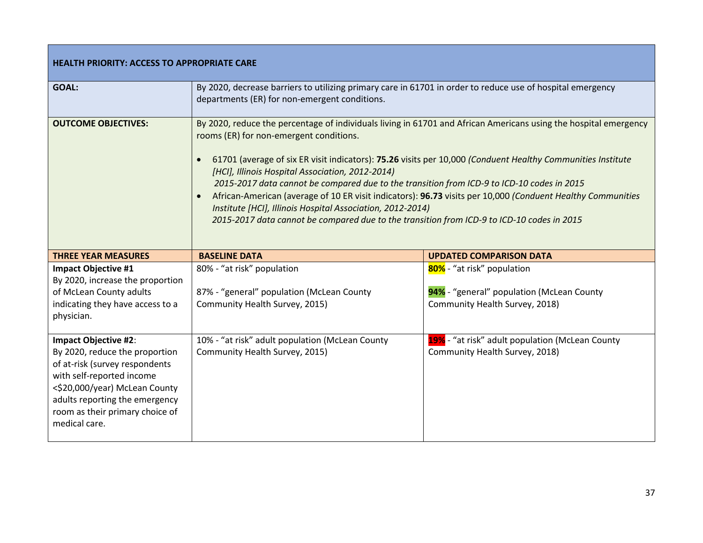| <b>HEALTH PRIORITY: ACCESS TO APPROPRIATE CARE</b>                                                                            |                                                                                                                                                                                                                                                                                                                                                                                                                                                                                                                                                                                                                                                                                                                      |                                                                                                           |  |
|-------------------------------------------------------------------------------------------------------------------------------|----------------------------------------------------------------------------------------------------------------------------------------------------------------------------------------------------------------------------------------------------------------------------------------------------------------------------------------------------------------------------------------------------------------------------------------------------------------------------------------------------------------------------------------------------------------------------------------------------------------------------------------------------------------------------------------------------------------------|-----------------------------------------------------------------------------------------------------------|--|
| GOAL:                                                                                                                         | By 2020, decrease barriers to utilizing primary care in 61701 in order to reduce use of hospital emergency<br>departments (ER) for non-emergent conditions.                                                                                                                                                                                                                                                                                                                                                                                                                                                                                                                                                          |                                                                                                           |  |
| <b>OUTCOME OBJECTIVES:</b>                                                                                                    | By 2020, reduce the percentage of individuals living in 61701 and African Americans using the hospital emergency<br>rooms (ER) for non-emergent conditions.<br>61701 (average of six ER visit indicators): 75.26 visits per 10,000 (Conduent Healthy Communities Institute<br>$\bullet$<br>[HCI], Illinois Hospital Association, 2012-2014)<br>2015-2017 data cannot be compared due to the transition from ICD-9 to ICD-10 codes in 2015<br>African-American (average of 10 ER visit indicators): 96.73 visits per 10,000 (Conduent Healthy Communities<br>Institute [HCI], Illinois Hospital Association, 2012-2014)<br>2015-2017 data cannot be compared due to the transition from ICD-9 to ICD-10 codes in 2015 |                                                                                                           |  |
|                                                                                                                               |                                                                                                                                                                                                                                                                                                                                                                                                                                                                                                                                                                                                                                                                                                                      |                                                                                                           |  |
| <b>THREE YEAR MEASURES</b>                                                                                                    | <b>BASELINE DATA</b>                                                                                                                                                                                                                                                                                                                                                                                                                                                                                                                                                                                                                                                                                                 | <b>UPDATED COMPARISON DATA</b>                                                                            |  |
| <b>Impact Objective #1</b><br>By 2020, increase the proportion<br>of McLean County adults<br>indicating they have access to a | 80% - "at risk" population<br>87% - "general" population (McLean County<br>Community Health Survey, 2015)                                                                                                                                                                                                                                                                                                                                                                                                                                                                                                                                                                                                            | 80% - "at risk" population<br>94% - "general" population (McLean County<br>Community Health Survey, 2018) |  |
| physician.<br><b>Impact Objective #2:</b>                                                                                     | 10% - "at risk" adult population (McLean County                                                                                                                                                                                                                                                                                                                                                                                                                                                                                                                                                                                                                                                                      | 19% - "at risk" adult population (McLean County                                                           |  |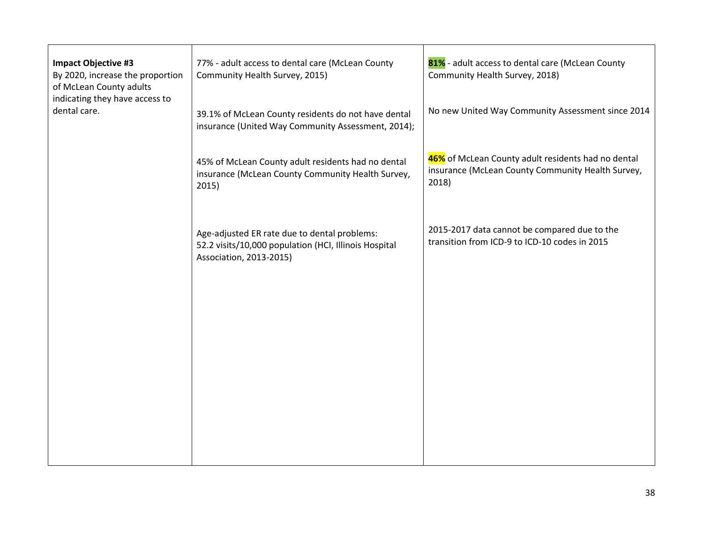| 77% - adult access to dental care (McLean County<br>Community Health Survey, 2015)                                               | 81% - adult access to dental care (McLean County<br>Community Health Survey, 2018)                               |
|----------------------------------------------------------------------------------------------------------------------------------|------------------------------------------------------------------------------------------------------------------|
| 39.1% of McLean County residents do not have dental<br>insurance (United Way Community Assessment, 2014);                        | No new United Way Community Assessment since 2014                                                                |
| 45% of McLean County adult residents had no dental<br>insurance (McLean County Community Health Survey,<br>2015)                 | 46% of McLean County adult residents had no dental<br>insurance (McLean County Community Health Survey,<br>2018) |
| Age-adjusted ER rate due to dental problems:<br>52.2 visits/10,000 population (HCI, Illinois Hospital<br>Association, 2013-2015) | 2015-2017 data cannot be compared due to the<br>transition from ICD-9 to ICD-10 codes in 2015                    |
|                                                                                                                                  |                                                                                                                  |
|                                                                                                                                  |                                                                                                                  |
|                                                                                                                                  |                                                                                                                  |
|                                                                                                                                  |                                                                                                                  |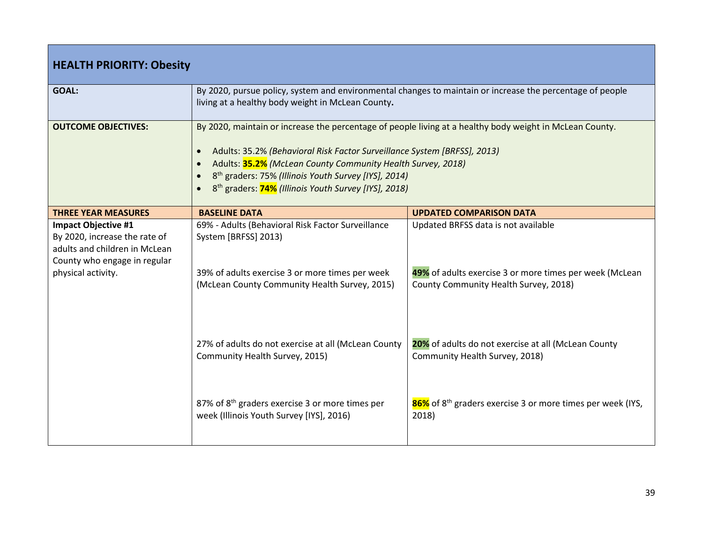| <b>HEALTH PRIORITY: Obesity</b>                                                                                                                    |                                                                                                                                                                                                                                                                                                                                                                                                                                           |                                                                                                                                         |  |
|----------------------------------------------------------------------------------------------------------------------------------------------------|-------------------------------------------------------------------------------------------------------------------------------------------------------------------------------------------------------------------------------------------------------------------------------------------------------------------------------------------------------------------------------------------------------------------------------------------|-----------------------------------------------------------------------------------------------------------------------------------------|--|
| <b>GOAL:</b>                                                                                                                                       | By 2020, pursue policy, system and environmental changes to maintain or increase the percentage of people<br>living at a healthy body weight in McLean County.                                                                                                                                                                                                                                                                            |                                                                                                                                         |  |
| <b>OUTCOME OBJECTIVES:</b>                                                                                                                         | By 2020, maintain or increase the percentage of people living at a healthy body weight in McLean County.<br>Adults: 35.2% (Behavioral Risk Factor Surveillance System [BRFSS], 2013)<br>$\bullet$<br>Adults: 35.2% (McLean County Community Health Survey, 2018)<br>$\bullet$<br>8 <sup>th</sup> graders: 75% (Illinois Youth Survey [IYS], 2014)<br>$\bullet$<br>8 <sup>th</sup> graders: <b>74%</b> (Illinois Youth Survey [IYS], 2018) |                                                                                                                                         |  |
| <b>THREE YEAR MEASURES</b>                                                                                                                         | <b>BASELINE DATA</b>                                                                                                                                                                                                                                                                                                                                                                                                                      | <b>UPDATED COMPARISON DATA</b>                                                                                                          |  |
| <b>Impact Objective #1</b><br>By 2020, increase the rate of<br>adults and children in McLean<br>County who engage in regular<br>physical activity. | 69% - Adults (Behavioral Risk Factor Surveillance<br>System [BRFSS] 2013)<br>39% of adults exercise 3 or more times per week<br>(McLean County Community Health Survey, 2015)                                                                                                                                                                                                                                                             | Updated BRFSS data is not available<br>49% of adults exercise 3 or more times per week (McLean<br>County Community Health Survey, 2018) |  |
|                                                                                                                                                    | 27% of adults do not exercise at all (McLean County<br>Community Health Survey, 2015)                                                                                                                                                                                                                                                                                                                                                     | 20% of adults do not exercise at all (McLean County<br>Community Health Survey, 2018)                                                   |  |
|                                                                                                                                                    | 87% of 8 <sup>th</sup> graders exercise 3 or more times per<br>week (Illinois Youth Survey [IYS], 2016)                                                                                                                                                                                                                                                                                                                                   | 86% of 8 <sup>th</sup> graders exercise 3 or more times per week (IYS,<br>2018)                                                         |  |